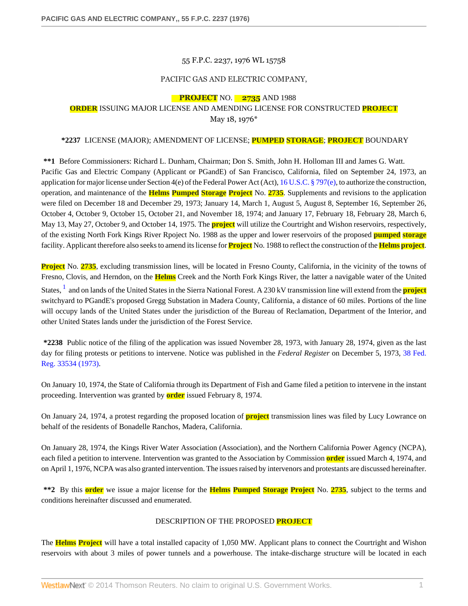#### 55 F.P.C. 2237, 1976 WL 15758

## PACIFIC GAS AND ELECTRIC COMPANY,

## **PROJECT** NO. **2735** AND 1988

## **ORDER** ISSUING MAJOR LICENSE AND AMENDING LICENSE FOR CONSTRUCTED **PROJECT** May 18, 1976\*

#### **\*2237** LICENSE (MAJOR); AMENDMENT OF LICENSE; **PUMPED STORAGE**; **PROJECT** BOUNDARY

**\*\*1** Before Commissioners: Richard L. Dunham, Chairman; Don S. Smith, John H. Holloman III and James G. Watt. Pacific Gas and Electric Company (Applicant or PGandE) of San Francisco, California, filed on September 24, 1973, an application for major license under Section 4(e) of the Federal Power Act (Act), [16 U.S.C. § 797\(e\),](http://www.westlaw.com/Link/Document/FullText?findType=L&pubNum=1000546&cite=16USCAS797&originatingDoc=I06d61d43391a11dbbb4d83d7c3c3a165&refType=LQ&originationContext=document&vr=3.0&rs=cblt1.0&transitionType=DocumentItem&contextData=(sc.Search)) to authorize the construction, operation, and maintenance of the **Helms Pumped Storage Project** No. **2735**. Supplements and revisions to the application were filed on December 18 and December 29, 1973; January 14, March 1, August 5, August 8, September 16, September 26, October 4, October 9, October 15, October 21, and November 18, 1974; and January 17, February 18, February 28, March 6, May 13, May 27, October 9, and October 14, 1975. The **project** will utilize the Courtright and Wishon reservoirs, respectively, of the existing North Fork Kings River Rpoject No. 1988 as the upper and lower reservoirs of the proposed **pumped storage** facility. Applicant therefore also seeks to amend its license for **Project** No. 1988 to reflect the construction of the **Helmsproject**.

**Project** No. **2735**, excluding transmission lines, will be located in Fresno County, California, in the vicinity of the towns of Fresno, Clovis, and Herndon, on the **Helms** Creek and the North Fork Kings River, the latter a navigable water of the United

<span id="page-0-0"></span>States, [1](#page-28-0) and on lands of the United States in the Sierra National Forest. A 230 kV transmission line will extend from the **project** switchyard to PGandE's proposed Gregg Substation in Madera County, California, a distance of 60 miles. Portions of the line will occupy lands of the United States under the jurisdiction of the Bureau of Reclamation, Department of the Interior, and other United States lands under the jurisdiction of the Forest Service.

**\*2238** Public notice of the filing of the application was issued November 28, 1973, with January 28, 1974, given as the last day for filing protests or petitions to intervene. Notice was published in the *Federal Register* on December 5, 1973, [38 Fed.](http://www.westlaw.com/Link/Document/FullText?findType=Y&pubNum=1037&cite=38FR33534&originationContext=document&vr=3.0&rs=cblt1.0&transitionType=DocumentItem&contextData=(sc.Search)) [Reg. 33534 \(1973\)](http://www.westlaw.com/Link/Document/FullText?findType=Y&pubNum=1037&cite=38FR33534&originationContext=document&vr=3.0&rs=cblt1.0&transitionType=DocumentItem&contextData=(sc.Search)).

On January 10, 1974, the State of California through its Department of Fish and Game filed a petition to intervene in the instant proceeding. Intervention was granted by **order** issued February 8, 1974.

On January 24, 1974, a protest regarding the proposed location of **project** transmission lines was filed by Lucy Lowrance on behalf of the residents of Bonadelle Ranchos, Madera, California.

On January 28, 1974, the Kings River Water Association (Association), and the Northern California Power Agency (NCPA), each filed a petition to intervene. Intervention was granted to the Association by Commission **order** issued March 4, 1974, and on April 1, 1976, NCPA was also granted intervention. The issues raised by intervenors and protestants are discussed hereinafter.

**\*\*2** By this **order** we issue a major license for the **Helms Pumped Storage Project** No. **2735**, subject to the terms and conditions hereinafter discussed and enumerated.

#### DESCRIPTION OF THE PROPOSED **PROJECT**

The **Helms Project** will have a total installed capacity of 1,050 MW. Applicant plans to connect the Courtright and Wishon reservoirs with about 3 miles of power tunnels and a powerhouse. The intake-discharge structure will be located in each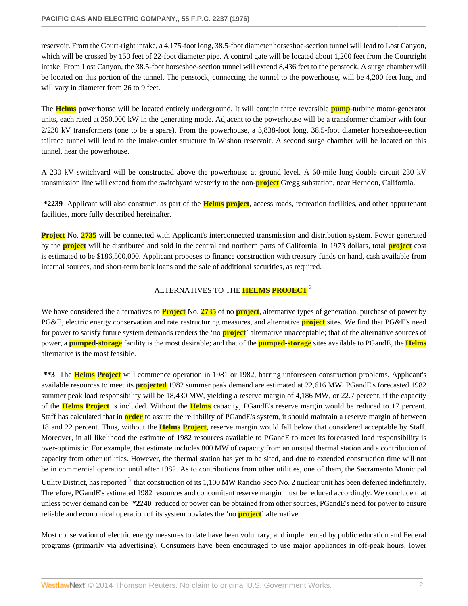reservoir. From the Court-right intake, a 4,175-foot long, 38.5-foot diameter horseshoe-section tunnel will lead to Lost Canyon, which will be crossed by 150 feet of 22-foot diameter pipe. A control gate will be located about 1,200 feet from the Courtright intake. From Lost Canyon, the 38.5-foot horseshoe-section tunnel will extend 8,436 feet to the penstock. A surge chamber will be located on this portion of the tunnel. The penstock, connecting the tunnel to the powerhouse, will be 4,200 feet long and will vary in diameter from 26 to 9 feet.

The **Helms** powerhouse will be located entirely underground. It will contain three reversible **pump**-turbine motor-generator units, each rated at 350,000 kW in the generating mode. Adjacent to the powerhouse will be a transformer chamber with four 2/230 kV transformers (one to be a spare). From the powerhouse, a 3,838-foot long, 38.5-foot diameter horseshoe-section tailrace tunnel will lead to the intake-outlet structure in Wishon reservoir. A second surge chamber will be located on this tunnel, near the powerhouse.

A 230 kV switchyard will be constructed above the powerhouse at ground level. A 60-mile long double circuit 230 kV transmission line will extend from the switchyard westerly to the non-**project** Gregg substation, near Herndon, California.

**\*2239** Applicant will also construct, as part of the **Helms project**, access roads, recreation facilities, and other appurtenant facilities, more fully described hereinafter.

**Project** No. 2735 will be connected with Applicant's interconnected transmission and distribution system. Power generated by the **project** will be distributed and sold in the central and northern parts of California. In 1973 dollars, total **project** cost is estimated to be \$186,500,000. Applicant proposes to finance construction with treasury funds on hand, cash available from internal sources, and short-term bank loans and the sale of additional securities, as required.

# <span id="page-1-0"></span>ALTERNATIVES TO THE **HELMS PROJECT**[2](#page-28-1)

We have considered the alternatives to **Project** No. **2735** of no **project**, alternative types of generation, purchase of power by PG&E, electric energy conservation and rate restructuring measures, and alternative **project** sites. We find that PG&E's need for power to satisfy future system demands renders the 'no **project**' alternative unacceptable; that of the alternative sources of power, a **pumped**-**storage** facility is the most desirable; and that of the **pumped**-**storage** sites available to PGandE, the **Helms** alternative is the most feasible.

**\*\*3** The **Helms Project** will commence operation in 1981 or 1982, barring unforeseen construction problems. Applicant's available resources to meet its **projected** 1982 summer peak demand are estimated at 22,616 MW. PGandE's forecasted 1982 summer peak load responsibility will be 18,430 MW, yielding a reserve margin of 4,186 MW, or 22.7 percent, if the capacity of the **Helms Project** is included. Without the **Helms** capacity, PGandE's reserve margin would be reduced to 17 percent. Staff has calculated that in **order** to assure the reliability of PGandE's system, it should maintain a reserve margin of between 18 and 22 percent. Thus, without the **Helms Project**, reserve margin would fall below that considered acceptable by Staff. Moreover, in all likelihood the estimate of 1982 resources available to PGandE to meet its forecasted load responsibility is over-optimistic. For example, that estimate includes 800 MW of capacity from an unsited thermal station and a contribution of capacity from other utilities. However, the thermal station has yet to be sited, and due to extended construction time will not be in commercial operation until after 1982. As to contributions from other utilities, one of them, the Sacramento Municipal Utility District, has reported  $3$  that construction of its 1,100 MW Rancho Seco No. 2 nuclear unit has been deferred indefinitely. Therefore, PGandE's estimated 1982 resources and concomitant reserve margin must be reduced accordingly. We conclude that unless power demand can be **\*2240** reduced or power can be obtained from other sources, PGandE's need for power to ensure reliable and economical operation of its system obviates the 'no **project**' alternative.

<span id="page-1-1"></span>Most conservation of electric energy measures to date have been voluntary, and implemented by public education and Federal programs (primarily via advertising). Consumers have been encouraged to use major appliances in off-peak hours, lower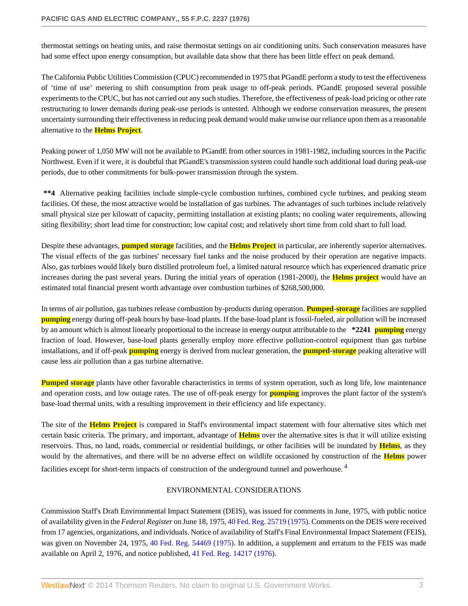thermostat settings on heating units, and raise thermostat settings on air conditioning units. Such conservation measures have had some effect upon energy consumption, but available data show that there has been little effect on peak demand.

The California Public Utilities Commission (CPUC) recommended in 1975 that PGandE perform a study to test the effectiveness of 'time of use' metering to shift consumption from peak usage to off-peak periods. PGandE proposed several possible experiments to the CPUC, but has not carried out any such studies. Therefore, the effectiveness of peak-load pricing or other rate restructuring to lower demands during peak-use periods is untested. Although we endorse conservation measures, the present uncertainty surrounding their effectiveness in reducing peak demand would make unwise our reliance upon them as a reasonable alternative to the **Helms Project**.

Peaking power of 1,050 MW will not be available to PGandE from other sources in 1981-1982, including sources in the Pacific Northwest. Even if it were, it is doubtful that PGandE's transmission system could handle such additional load during peak-use periods, due to other commitments for bulk-power transmission through the system.

**\*\*4** Alternative peaking facilities include simple-cycle combustion turbines, combined cycle turbines, and peaking steam facilities. Of these, the most attractive would be installation of gas turbines. The advantages of such turbines include relatively small physical size per kilowatt of capacity, permitting installation at existing plants; no cooling water requirements, allowing siting flexibility; short lead time for construction; low capital cost; and relatively short time from cold shart to full load.

Despite these advantages, **pumped storage** facilities, and the **Helms Project** in particular, are inherently superior alternatives. The visual effects of the gas turbines' necessary fuel tanks and the noise produced by their operation are negative impacts. Also, gas turbines would likely burn distilled protroleum fuel, a limited natural resource which has experienced dramatic price increases during the past several years. During the initial years of operation (1981-2000), the **Helms project** would have an estimated total financial present worth advantage over combustion turbines of \$268,500,000.

In terms of air pollution, gas turbines release combustion by-products during operation. **Pumped**-**storage** facilities are supplied **pumping** energy during off-peak hours by base-load plants. If the base-load plant is fossil-fueled, air pollution will be increased by an amount which is almost linearly proportional to the increase in energy output attributable to the **\*2241 pumping** energy fraction of load. However, base-load plants generally employ more effective pollution-control equipment than gas turbine installations, and if off-peak **pumping** energy is derived from nuclear generation, the **pumped**-**storage** peaking alterative will cause less air pollution than a gas turbine alternative.

**Pumped storage** plants have other favorable characteristics in terms of system operation, such as long life, low maintenance and operation costs, and low outage rates. The use of off-peak energy for **pumping** improves the plant factor of the system's base-load thermal units, with a resulting improvement in their efficiency and life expectancy.

The site of the **Helms Project** is compared in Staff's environmental impact statement with four alternative sites which met certain basic criteria. The primary, and important, advantage of **Helms** over the alternative sites is that it will utilize existing reservoirs. Thus, no land, roads, commercial or residential buildings, or other facilities will be inundated by **Helms**, as they would by the alternatives, and there will be no adverse effect on wildlife occasioned by construction of the **Helms** power facilities except for short-term impacts of construction of the underground tunnel and powerhouse.<sup>[4](#page-28-3)</sup>

## <span id="page-2-0"></span>ENVIRONMENTAL CONSIDERATIONS

Commission Staff's Draft Environmental Impact Statement (DEIS), was issued for comments in June, 1975, with public notice of availability given in the *Federal Register* on June 18, 1975, [40 Fed. Reg. 25719 \(1975\)](http://www.westlaw.com/Link/Document/FullText?findType=Y&pubNum=1037&cite=40FR25719&originationContext=document&vr=3.0&rs=cblt1.0&transitionType=DocumentItem&contextData=(sc.Search)). Comments on the DEIS were received from 17 agencies, organizations, and individuals. Notice of availability of Staff's Final Environmental Impact Statement (FEIS), was given on November 24, 1975, [40 Fed. Reg. 54469 \(1975\).](http://www.westlaw.com/Link/Document/FullText?findType=Y&pubNum=1037&cite=40FR54469&originationContext=document&vr=3.0&rs=cblt1.0&transitionType=DocumentItem&contextData=(sc.Search)) In addition, a supplement and erratum to the FEIS was made available on April 2, 1976, and notice published, [41 Fed. Reg. 14217 \(1976\)](http://www.westlaw.com/Link/Document/FullText?findType=Y&pubNum=1037&cite=41FR14217&originationContext=document&vr=3.0&rs=cblt1.0&transitionType=DocumentItem&contextData=(sc.Search)).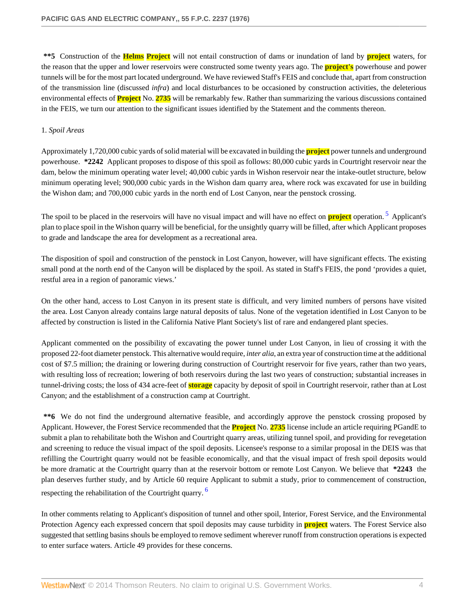**\*\*5** Construction of the **Helms Project** will not entail construction of dams or inundation of land by **project** waters, for the reason that the upper and lower reservoirs were constructed some twenty years ago. The **project's** powerhouse and power tunnels will be for the most part located underground. We have reviewed Staff's FEIS and conclude that, apart from construction of the transmission line (discussed *infra*) and local disturbances to be occasioned by construction activities, the deleterious environmental effects of **Project** No. **2735** will be remarkably few. Rather than summarizing the various discussions contained in the FEIS, we turn our attention to the significant issues identified by the Statement and the comments thereon.

## 1. *Spoil Areas*

Approximately 1,720,000 cubic yards of solid material will be excavated in building the **project** power tunnels and underground powerhouse. **\*2242** Applicant proposes to dispose of this spoil as follows: 80,000 cubic yards in Courtright reservoir near the dam, below the minimum operating water level; 40,000 cubic yards in Wishon reservoir near the intake-outlet structure, below minimum operating level; 900,000 cubic yards in the Wishon dam quarry area, where rock was excavated for use in building the Wishon dam; and 700,000 cubic yards in the north end of Lost Canyon, near the penstock crossing.

<span id="page-3-0"></span>The spoil to be placed in the reservoirs will have no visual impact and will have no effect on **project** operation.<sup>[5](#page-28-4)</sup> Applicant's plan to place spoil in the Wishon quarry will be beneficial, for the unsightly quarry will be filled, after which Applicant proposes to grade and landscape the area for development as a recreational area.

The disposition of spoil and construction of the penstock in Lost Canyon, however, will have significant effects. The existing small pond at the north end of the Canyon will be displaced by the spoil. As stated in Staff's FEIS, the pond 'provides a quiet, restful area in a region of panoramic views.'

On the other hand, access to Lost Canyon in its present state is difficult, and very limited numbers of persons have visited the area. Lost Canyon already contains large natural deposits of talus. None of the vegetation identified in Lost Canyon to be affected by construction is listed in the California Native Plant Society's list of rare and endangered plant species.

Applicant commented on the possibility of excavating the power tunnel under Lost Canyon, in lieu of crossing it with the proposed 22-foot diameter penstock. This alternative would require, *inter alia*, an extra year of construction time at the additional cost of \$7.5 million; the draining or lowering during construction of Courtright reservoir for five years, rather than two years, with resulting loss of recreation; lowering of both reservoirs during the last two years of construction; substantial increases in tunnel-driving costs; the loss of 434 acre-feet of **storage** capacity by deposit of spoil in Courtright reservoir, rather than at Lost Canyon; and the establishment of a construction camp at Courtright.

**\*\*6** We do not find the underground alternative feasible, and accordingly approve the penstock crossing proposed by Applicant. However, the Forest Service recommended that the **Project** No. **2735** license include an article requiring PGandE to submit a plan to rehabilitate both the Wishon and Courtright quarry areas, utilizing tunnel spoil, and providing for revegetation and screening to reduce the visual impact of the spoil deposits. Licensee's response to a similar proposal in the DEIS was that refilling the Courtright quarry would not be feasible economically, and that the visual impact of fresh spoil deposits would be more dramatic at the Courtright quarry than at the reservoir bottom or remote Lost Canyon. We believe that **\*2243** the plan deserves further study, and by Article 60 require Applicant to submit a study, prior to commencement of construction, respecting the rehabilitation of the Courtright quarry.<sup>[6](#page-28-5)</sup>

<span id="page-3-1"></span>In other comments relating to Applicant's disposition of tunnel and other spoil, Interior, Forest Service, and the Environmental Protection Agency each expressed concern that spoil deposits may cause turbidity in **project** waters. The Forest Service also suggested that settling basins shouls be employed to remove sediment wherever runoff from construction operations is expected to enter surface waters. Article 49 provides for these concerns.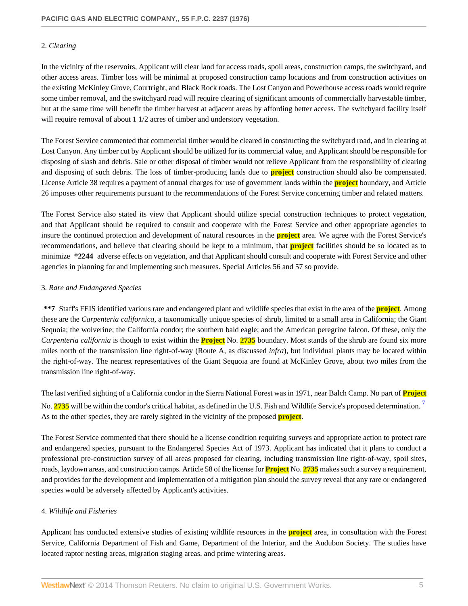## 2. *Clearing*

In the vicinity of the reservoirs, Applicant will clear land for access roads, spoil areas, construction camps, the switchyard, and other access areas. Timber loss will be minimal at proposed construction camp locations and from construction activities on the existing McKinley Grove, Courtright, and Black Rock roads. The Lost Canyon and Powerhouse access roads would require some timber removal, and the switchyard road will require clearing of significant amounts of commercially harvestable timber, but at the same time will benefit the timber harvest at adjacent areas by affording better access. The switchyard facility itself will require removal of about 1 1/2 acres of timber and understory vegetation.

The Forest Service commented that commercial timber would be cleared in constructing the switchyard road, and in clearing at Lost Canyon. Any timber cut by Applicant should be utilized for its commercial value, and Applicant should be responsible for disposing of slash and debris. Sale or other disposal of timber would not relieve Applicant from the responsibility of clearing and disposing of such debris. The loss of timber-producing lands due to **project** construction should also be compensated. License Article 38 requires a payment of annual charges for use of government lands within the **project** boundary, and Article 26 imposes other requirements pursuant to the recommendations of the Forest Service concerning timber and related matters.

The Forest Service also stated its view that Applicant should utilize special construction techniques to protect vegetation, and that Applicant should be required to consult and cooperate with the Forest Service and other appropriate agencies to insure the continued protection and development of natural resources in the **project** area. We agree with the Forest Service's recommendations, and believe that clearing should be kept to a minimum, that **project** facilities should be so located as to minimize **\*2244** adverse effects on vegetation, and that Applicant should consult and cooperate with Forest Service and other agencies in planning for and implementing such measures. Special Articles 56 and 57 so provide.

## 3. *Rare and Endangered Species*

**\*\*7** Staff's FEIS identified various rare and endangered plant and wildlife species that exist in the area of the **project**. Among these are the *Carpenteria californica*, a taxonomically unique species of shrub, limited to a small area in California; the Giant Sequoia; the wolverine; the California condor; the southern bald eagle; and the American peregrine falcon. Of these, only the *Carpenteria california* is though to exist within the **Project** No. **2735** boundary. Most stands of the shrub are found six more miles north of the transmission line right-of-way (Route A, as discussed *infra*), but individual plants may be located within the right-of-way. The nearest representatives of the Giant Sequoia are found at McKinley Grove, about two miles from the transmission line right-of-way.

<span id="page-4-0"></span>The last verified sighting of a California condor in the Sierra National Forest was in 1971, near Balch Camp. No part of **Project** No. **2735** will be within the condor's critical habitat, as defined in the U.S. Fish and Wildlife Service's proposed determination. [7](#page-28-6) As to the other species, they are rarely sighted in the vicinity of the proposed **project**.

The Forest Service commented that there should be a license condition requiring surveys and appropriate action to protect rare and endangered species, pursuant to the Endangered Species Act of 1973. Applicant has indicated that it plans to conduct a professional pre-construction survey of all areas proposed for clearing, including transmission line right-of-way, spoil sites, roads, laydown areas, and construction camps. Article 58 of the license for **Project** No. **2735** makes such a survey a requirement, and provides for the development and implementation of a mitigation plan should the survey reveal that any rare or endangered species would be adversely affected by Applicant's activities.

## 4. *Wildlife and Fisheries*

Applicant has conducted extensive studies of existing wildlife resources in the **project** area, in consultation with the Forest Service, California Department of Fish and Game, Department of the Interior, and the Audubon Society. The studies have located raptor nesting areas, migration staging areas, and prime wintering areas.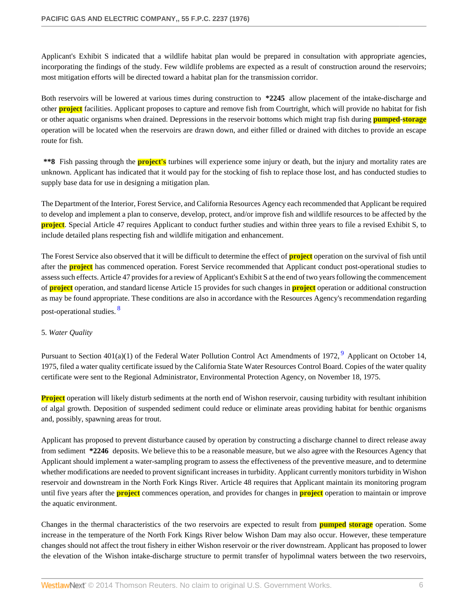Applicant's Exhibit S indicated that a wildlife habitat plan would be prepared in consultation with appropriate agencies, incorporating the findings of the study. Few wildlife problems are expected as a result of construction around the reservoirs; most mitigation efforts will be directed toward a habitat plan for the transmission corridor.

Both reservoirs will be lowered at various times during construction to **\*2245** allow placement of the intake-discharge and other **project** facilities. Applicant proposes to capture and remove fish from Courtright, which will provide no habitat for fish or other aquatic organisms when drained. Depressions in the reservoir bottoms which might trap fish during **pumped**-**storage** operation will be located when the reservoirs are drawn down, and either filled or drained with ditches to provide an escape route for fish.

**\*\*8** Fish passing through the **project's** turbines will experience some injury or death, but the injury and mortality rates are unknown. Applicant has indicated that it would pay for the stocking of fish to replace those lost, and has conducted studies to supply base data for use in designing a mitigation plan.

The Department of the Interior, Forest Service, and California Resources Agency each recommended that Applicant be required to develop and implement a plan to conserve, develop, protect, and/or improve fish and wildlife resources to be affected by the **project**. Special Article 47 requires Applicant to conduct further studies and within three years to file a revised Exhibit S, to include detailed plans respecting fish and wildlife mitigation and enhancement.

The Forest Service also observed that it will be difficult to determine the effect of **project** operation on the survival of fish until after the **project** has commenced operation. Forest Service recommended that Applicant conduct post-operational studies to assess such effects. Article 47 provides for a review of Applicant's Exhibit S at the end of two years following the commencement of **project** operation, and standard license Article 15 provides for such changes in **project** operation or additional construction as may be found appropriate. These conditions are also in accordance with the Resources Agency's recommendation regarding post-operational studies. [8](#page-28-7)

## <span id="page-5-0"></span>5. *Water Quality*

<span id="page-5-1"></span>Pursuant to Section  $401(a)(1)$  of the Federal Water Pollution Control Act Amendments of 1[9](#page-28-8)72,  $9$  Applicant on October 14, 1975, filed a water quality certificate issued by the California State Water Resources Control Board. Copies of the water quality certificate were sent to the Regional Administrator, Environmental Protection Agency, on November 18, 1975.

**Project** operation will likely disturb sediments at the north end of Wishon reservoir, causing turbidity with resultant inhibition of algal growth. Deposition of suspended sediment could reduce or eliminate areas providing habitat for benthic organisms and, possibly, spawning areas for trout.

Applicant has proposed to prevent disturbance caused by operation by constructing a discharge channel to direct release away from sediment **\*2246** deposits. We believe this to be a reasonable measure, but we also agree with the Resources Agency that Applicant should implement a water-sampling program to assess the effectiveness of the preventive measure, and to determine whether modifications are needed to provent significant increases in turbidity. Applicant currently monitors turbidity in Wishon reservoir and downstream in the North Fork Kings River. Article 48 requires that Applicant maintain its monitoring program until five years after the **project** commences operation, and provides for changes in **project** operation to maintain or improve the aquatic environment.

Changes in the thermal characteristics of the two reservoirs are expected to result from **pumped storage** operation. Some increase in the temperature of the North Fork Kings River below Wishon Dam may also occur. However, these temperature changes should not affect the trout fishery in either Wishon reservoir or the river downstream. Applicant has proposed to lower the elevation of the Wishon intake-discharge structure to permit transfer of hypolimnal waters between the two reservoirs,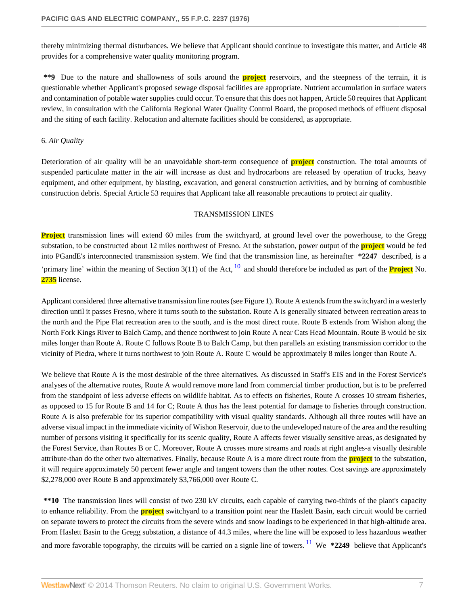thereby minimizing thermal disturbances. We believe that Applicant should continue to investigate this matter, and Article 48 provides for a comprehensive water quality monitoring program.

**\*\*9** Due to the nature and shallowness of soils around the **project** reservoirs, and the steepness of the terrain, it is questionable whether Applicant's proposed sewage disposal facilities are appropriate. Nutrient accumulation in surface waters and contamination of potable water supplies could occur. To ensure that this does not happen, Article 50 requires that Applicant review, in consultation with the California Regional Water Quality Control Board, the proposed methods of effluent disposal and the siting of each facility. Relocation and alternate facilities should be considered, as appropriate.

#### 6. *Air Quality*

Deterioration of air quality will be an unavoidable short-term consequence of **project** construction. The total amounts of suspended particulate matter in the air will increase as dust and hydrocarbons are released by operation of trucks, heavy equipment, and other equipment, by blasting, excavation, and general construction activities, and by burning of combustible construction debris. Special Article 53 requires that Applicant take all reasonable precautions to protect air quality.

#### <span id="page-6-0"></span>TRANSMISSION LINES

**Project** transmission lines will extend 60 miles from the switchyard, at ground level over the powerhouse, to the Gregg substation, to be constructed about 12 miles northwest of Fresno. At the substation, power output of the **project** would be fed into PGandE's interconnected transmission system. We find that the transmission line, as hereinafter **\*2247** described, is a 'primary line' within the meaning of Section 3(11) of the Act, [10](#page-28-9) and should therefore be included as part of the **Project** No. **2735** license.

Applicant considered three alternative transmission line routes (see Figure 1). Route A extends from the switchyard in a westerly direction until it passes Fresno, where it turns south to the substation. Route A is generally situated between recreation areas to the north and the Pipe Flat recreation area to the south, and is the most direct route. Route B extends from Wishon along the North Fork Kings River to Balch Camp, and thence northwest to join Route A near Cats Head Mountain. Route B would be six miles longer than Route A. Route C follows Route B to Balch Camp, but then parallels an existing transmission corridor to the vicinity of Piedra, where it turns northwest to join Route A. Route C would be approximately 8 miles longer than Route A.

We believe that Route A is the most desirable of the three alternatives. As discussed in Staff's EIS and in the Forest Service's analyses of the alternative routes, Route A would remove more land from commercial timber production, but is to be preferred from the standpoint of less adverse effects on wildlife habitat. As to effects on fisheries, Route A crosses 10 stream fisheries, as opposed to 15 for Route B and 14 for C; Route A thus has the least potential for damage to fisheries through construction. Route A is also preferable for its superior compatibility with visual quality standards. Although all three routes will have an adverse visual impact in the immediate vicinity of Wishon Reservoir, due to the undeveloped nature of the area and the resulting number of persons visiting it specifically for its scenic quality, Route A affects fewer visually sensitive areas, as designated by the Forest Service, than Routes B or C. Moreover, Route A crosses more streams and roads at right angles-a visually desirable attribute-than do the other two alternatives. Finally, because Route A is a more direct route from the **project** to the substation, it will require approximately 50 percent fewer angle and tangent towers than the other routes. Cost savings are approximately \$2,278,000 over Route B and approximately \$3,766,000 over Route C.

<span id="page-6-1"></span>**\*\*10** The transmission lines will consist of two 230 kV circuits, each capable of carrying two-thirds of the plant's capacity to enhance reliability. From the **project** switchyard to a transition point near the Haslett Basin, each circuit would be carried on separate towers to protect the circuits from the severe winds and snow loadings to be experienced in that high-altitude area. From Haslett Basin to the Gregg substation, a distance of 44.3 miles, where the line will be exposed to less hazardous weather and more favorable topography, the circuits will be carried on a signle line of towers. <sup>[11](#page-28-10)</sup> We **\*2249** believe that Applicant's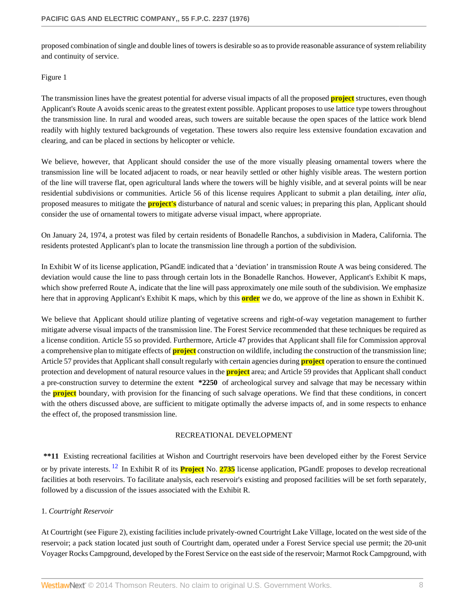proposed combination of single and double lines of towers is desirable so as to provide reasonable assurance of system reliability and continuity of service.

#### Figure 1

The transmission lines have the greatest potential for adverse visual impacts of all the proposed **project** structures, even though Applicant's Route A avoids scenic areas to the greatest extent possible. Applicant proposes to use lattice type towers throughout the transmission line. In rural and wooded areas, such towers are suitable because the open spaces of the lattice work blend readily with highly textured backgrounds of vegetation. These towers also require less extensive foundation excavation and clearing, and can be placed in sections by helicopter or vehicle.

We believe, however, that Applicant should consider the use of the more visually pleasing ornamental towers where the transmission line will be located adjacent to roads, or near heavily settled or other highly visible areas. The western portion of the line will traverse flat, open agricultural lands where the towers will be highly visible, and at several points will be near residential subdivisions or communities. Article 56 of this license requires Applicant to submit a plan detailing, *inter alia*, proposed measures to mitigate the **project's** disturbance of natural and scenic values; in preparing this plan, Applicant should consider the use of ornamental towers to mitigate adverse visual impact, where appropriate.

On January 24, 1974, a protest was filed by certain residents of Bonadelle Ranchos, a subdivision in Madera, California. The residents protested Applicant's plan to locate the transmission line through a portion of the subdivision.

In Exhibit W of its license application, PGandE indicated that a 'deviation' in transmission Route A was being considered. The deviation would cause the line to pass through certain lots in the Bonadelle Ranchos. However, Applicant's Exhibit K maps, which show preferred Route A, indicate that the line will pass approximately one mile south of the subdivision. We emphasize here that in approving Applicant's Exhibit K maps, which by this **order** we do, we approve of the line as shown in Exhibit K.

We believe that Applicant should utilize planting of vegetative screens and right-of-way vegetation management to further mitigate adverse visual impacts of the transmission line. The Forest Service recommended that these techniques be required as a license condition. Article 55 so provided. Furthermore, Article 47 provides that Applicant shall file for Commission approval a comprehensive plan to mitigate effects of **project** construction on wildlife, including the construction of the transmission line; Article 57 provides that Applicant shall consult regularly with certain agencies during **project** operation to ensure the continued protection and development of natural resource values in the **project** area; and Article 59 provides that Applicant shall conduct a pre-construction survey to determine the extent **\*2250** of archeological survey and salvage that may be necessary within the **project** boundary, with provision for the financing of such salvage operations. We find that these conditions, in concert with the others discussed above, are sufficient to mitigate optimally the adverse impacts of, and in some respects to enhance the effect of, the proposed transmission line.

#### <span id="page-7-0"></span>RECREATIONAL DEVELOPMENT

**\*\*11** Existing recreational facilities at Wishon and Courtright reservoirs have been developed either by the Forest Service or by private interests. [12](#page-28-11) In Exhibit R of its **Project** No. **2735** license application, PGandE proposes to develop recreational facilities at both reservoirs. To facilitate analysis, each reservoir's existing and proposed facilities will be set forth separately, followed by a discussion of the issues associated with the Exhibit R.

## 1. *Courtright Reservoir*

At Courtright (see Figure 2), existing facilities include privately-owned Courtright Lake Village, located on the west side of the reservoir; a pack station located just south of Courtright dam, operated under a Forest Service special use permit; the 20-unit Voyager Rocks Campground, developed by the Forest Service on the east side of the reservoir; Marmot Rock Campground, with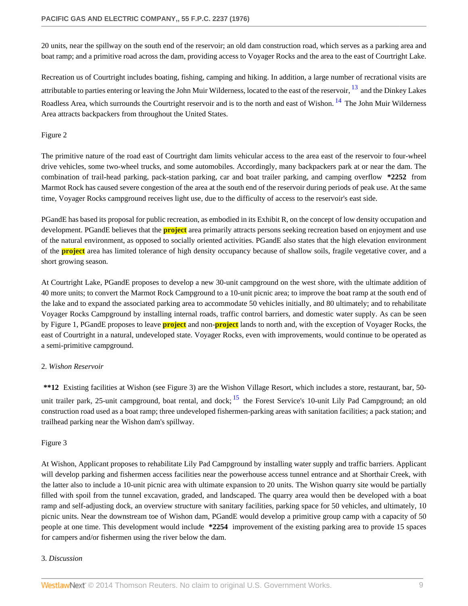20 units, near the spillway on the south end of the reservoir; an old dam construction road, which serves as a parking area and boat ramp; and a primitive road across the dam, providing access to Voyager Rocks and the area to the east of Courtright Lake.

<span id="page-8-1"></span><span id="page-8-0"></span>Recreation us of Courtright includes boating, fishing, camping and hiking. In addition, a large number of recrational visits are attributable to parties entering or leaving the John Muir Wilderness, located to the east of the reservoir, <sup>[13](#page-28-12)</sup> and the Dinkey Lakes Roadless Area, which surrounds the Courtright reservoir and is to the north and east of Wishon.<sup>[14](#page-29-0)</sup> The John Muir Wilderness Area attracts backpackers from throughout the United States.

## Figure 2

The primitive nature of the road east of Courtright dam limits vehicular access to the area east of the reservoir to four-wheel drive vehicles, some two-wheel trucks, and some automobiles. Accordingly, many backpackers park at or near the dam. The combination of trail-head parking, pack-station parking, car and boat trailer parking, and camping overflow **\*2252** from Marmot Rock has caused severe congestion of the area at the south end of the reservoir during periods of peak use. At the same time, Voyager Rocks campground receives light use, due to the difficulty of access to the reservoir's east side.

PGandE has based its proposal for public recreation, as embodied in its Exhibit R, on the concept of low density occupation and development. PGandE believes that the **project** area primarily attracts persons seeking recreation based on enjoyment and use of the natural environment, as opposed to socially oriented activities. PGandE also states that the high elevation environment of the **project** area has limited tolerance of high density occupancy because of shallow soils, fragile vegetative cover, and a short growing season.

At Courtright Lake, PGandE proposes to develop a new 30-unit campground on the west shore, with the ultimate addition of 40 more units; to convert the Marmot Rock Campground to a 10-unit picnic area; to improve the boat ramp at the south end of the lake and to expand the associated parking area to accommodate 50 vehicles initially, and 80 ultimately; and to rehabilitate Voyager Rocks Campground by installing internal roads, traffic control barriers, and domestic water supply. As can be seen by Figure 1, PGandE proposes to leave **project** and non-**project** lands to north and, with the exception of Voyager Rocks, the east of Courtright in a natural, undeveloped state. Voyager Rocks, even with improvements, would continue to be operated as a semi-primitive campground.

# 2. *Wishon Reservoir*

<span id="page-8-2"></span>**\*\*12** Existing facilities at Wishon (see Figure 3) are the Wishon Village Resort, which includes a store, restaurant, bar, 50 unit trailer park, 25-unit campground, boat rental, and dock;  $^{15}$  $^{15}$  $^{15}$  the Forest Service's 10-unit Lily Pad Campground; an old construction road used as a boat ramp; three undeveloped fishermen-parking areas with sanitation facilities; a pack station; and trailhead parking near the Wishon dam's spillway.

# Figure 3

At Wishon, Applicant proposes to rehabilitate Lily Pad Campground by installing water supply and traffic barriers. Applicant will develop parking and fishermen access facilities near the powerhouse access tunnel entrance and at Shorthair Creek, with the latter also to include a 10-unit picnic area with ultimate expansion to 20 units. The Wishon quarry site would be partially filled with spoil from the tunnel excavation, graded, and landscaped. The quarry area would then be developed with a boat ramp and self-adjusting dock, an overview structure with sanitary facilities, parking space for 50 vehicles, and ultimately, 10 picnic units. Near the downstream toe of Wishon dam, PGandE would develop a primitive group camp with a capacity of 50 people at one time. This development would include **\*2254** improvement of the existing parking area to provide 15 spaces for campers and/or fishermen using the river below the dam.

## 3. *Discussion*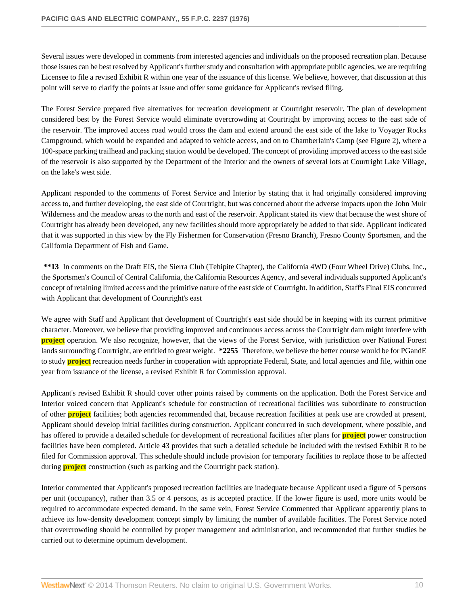Several issues were developed in comments from interested agencies and individuals on the proposed recreation plan. Because those issues can be best resolved by Applicant's further study and consultation with appropriate public agencies, we are requiring Licensee to file a revised Exhibit R within one year of the issuance of this license. We believe, however, that discussion at this point will serve to clarify the points at issue and offer some guidance for Applicant's revised filing.

The Forest Service prepared five alternatives for recreation development at Courtright reservoir. The plan of development considered best by the Forest Service would eliminate overcrowding at Courtright by improving access to the east side of the reservoir. The improved access road would cross the dam and extend around the east side of the lake to Voyager Rocks Campground, which would be expanded and adapted to vehicle access, and on to Chamberlain's Camp (see Figure 2), where a 100-space parking trailhead and packing station would be developed. The concept of providing improved access to the east side of the reservoir is also supported by the Department of the Interior and the owners of several lots at Courtright Lake Village, on the lake's west side.

Applicant responded to the comments of Forest Service and Interior by stating that it had originally considered improving access to, and further developing, the east side of Courtright, but was concerned about the adverse impacts upon the John Muir Wilderness and the meadow areas to the north and east of the reservoir. Applicant stated its view that because the west shore of Courtright has already been developed, any new facilities should more appropriately be added to that side. Applicant indicated that it was supported in this view by the Fly Fishermen for Conservation (Fresno Branch), Fresno County Sportsmen, and the California Department of Fish and Game.

**\*\*13** In comments on the Draft EIS, the Sierra Club (Tehipite Chapter), the California 4WD (Four Wheel Drive) Clubs, Inc., the Sportsmen's Council of Central California, the California Resources Agency, and several individuals supported Applicant's concept of retaining limited access and the primitive nature of the east side of Courtright. In addition, Staff's Final EIS concurred with Applicant that development of Courtright's east

We agree with Staff and Applicant that development of Courtright's east side should be in keeping with its current primitive character. Moreover, we believe that providing improved and continuous access across the Courtright dam might interfere with **project** operation. We also recognize, however, that the views of the Forest Service, with jurisdiction over National Forest lands surrounding Courtright, are entitled to great weight. **\*2255** Therefore, we believe the better course would be for PGandE to study **project** recreation needs further in cooperation with appropriate Federal, State, and local agencies and file, within one year from issuance of the license, a revised Exhibit R for Commission approval.

Applicant's revised Exhibit R should cover other points raised by comments on the application. Both the Forest Service and Interior voiced concern that Applicant's schedule for construction of recreational facilities was subordinate to construction of other **project** facilities; both agencies recommended that, because recreation facilities at peak use are crowded at present, Applicant should develop initial facilities during construction. Applicant concurred in such development, where possible, and has offered to provide a detailed schedule for development of recreational facilities after plans for **project** power construction facilities have been completed. Article 43 provides that such a detailed schedule be included with the revised Exhibit R to be filed for Commission approval. This schedule should include provision for temporary facilities to replace those to be affected during **project** construction (such as parking and the Courtright pack station).

Interior commented that Applicant's proposed recreation facilities are inadequate because Applicant used a figure of 5 persons per unit (occupancy), rather than 3.5 or 4 persons, as is accepted practice. If the lower figure is used, more units would be required to accommodate expected demand. In the same vein, Forest Service Commented that Applicant apparently plans to achieve its low-density development concept simply by limiting the number of available facilities. The Forest Service noted that overcrowding should be controlled by proper management and administration, and recommended that further studies be carried out to determine optimum development.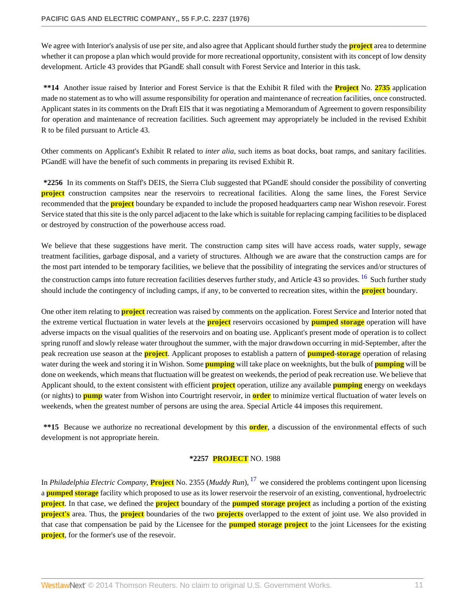We agree with Interior's analysis of use per site, and also agree that Applicant should further study the **project** area to determine whether it can propose a plan which would provide for more recreational opportunity, consistent with its concept of low density development. Article 43 provides that PGandE shall consult with Forest Service and Interior in this task.

**\*\*14** Another issue raised by Interior and Forest Service is that the Exhibit R filed with the **Project** No. **2735** application made no statement as to who will assume responsibility for operation and maintenance of recreation facilities, once constructed. Applicant states in its comments on the Draft EIS that it was negotiating a Memorandum of Agreement to govern responsibility for operation and maintenance of recreation facilities. Such agreement may appropriately be included in the revised Exhibit R to be filed pursuant to Article 43.

Other comments on Applicant's Exhibit R related to *inter alia*, such items as boat docks, boat ramps, and sanitary facilities. PGandE will have the benefit of such comments in preparing its revised Exhibit R.

**\*2256** In its comments on Staff's DEIS, the Sierra Club suggested that PGandE should consider the possibility of converting **project** construction campsites near the reservoirs to recreational facilities. Along the same lines, the Forest Service recommended that the **project** boundary be expanded to include the proposed headquarters camp near Wishon resevoir. Forest Service stated that this site is the only parcel adjacent to the lake which is suitable for replacing camping facilities to be displaced or destroyed by construction of the powerhouse access road.

We believe that these suggestions have merit. The construction camp sites will have access roads, water supply, sewage treatment facilities, garbage disposal, and a variety of structures. Although we are aware that the construction camps are for the most part intended to be temporary facilities, we believe that the possibility of integrating the services and/or structures of the construction camps into future recreation facilities deserves further study, and Article 43 so provides. <sup>[16](#page-29-2)</sup> Such further study should include the contingency of including camps, if any, to be converted to recreation sites, within the **project** boundary.

One other item relating to **project** recreation was raised by comments on the application. Forest Service and Interior noted that the extreme vertical fluctuation in water levels at the **project** reservoirs occasioned by **pumped storage** operation will have adverse impacts on the visual qualities of the reservoirs and on boating use. Applicant's present mode of operation is to collect spring runoff and slowly release water throughout the summer, with the major drawdown occurring in mid-September, after the peak recreation use season at the **project**. Applicant proposes to establish a pattern of **pumped**-**storage** operation of relasing water during the week and storing it in Wishon. Some **pumping** will take place on weeknights, but the bulk of **pumping** will be done on weekends, which means that fluctuation will be greatest on weekends, the period of peak recreation use. We believe that Applicant should, to the extent consistent with efficient **project** operation, utilize any available **pumping** energy on weekdays (or nights) to **pump** water from Wishon into Courtright reservoir, in **order** to minimize vertical fluctuation of water levels on weekends, when the greatest number of persons are using the area. Special Article 44 imposes this requirement.

**\*\*15** Because we authorize no recreational development by this **order**, a discussion of the environmental effects of such development is not appropriate herein.

#### <span id="page-10-1"></span><span id="page-10-0"></span>**\*2257 PROJECT** NO. 1988

In *Philadelphia Electric Company*, **Project** No. 2355 (*Muddy Run*), [17](#page-29-3) we considered the problems contingent upon licensing a **pumped storage** facility which proposed to use as its lower reservoir the reservoir of an existing, conventional, hydroelectric **project**. In that case, we defined the **project** boundary of the **pumped storage project** as including a portion of the existing **project's** area. Thus, the **project** boundaries of the two **projects** overlapped to the extent of joint use. We also provided in that case that compensation be paid by the Licensee for the **pumped storage project** to the joint Licensees for the existing **project**, for the former's use of the resevoir.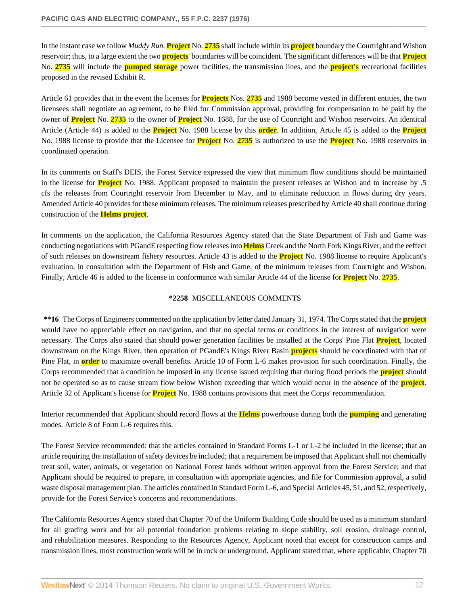In the instant case we follow *Muddy Run*. **Project** No. **2735** shall include within its **project** boundary the Courtright and Wishon reservoir; thus, to a large extent the two **projects**' boundaries will be coincident. The significant differences will be that **Project** No. **2735** will include the **pumped storage** power facilities, the transmission lines, and the **project's** recreational facilities proposed in the revised Exhibit R.

Article 61 provides that in the event the licenses for **Projects** Nos. **2735** and 1988 become vested in different entities, the two licensees shall negotiate an agreement, to be filed for Commission approval, providing for compensation to be paid by the owner of **Project** No. **2735** to the owner of **Project** No. 1688, for the use of Courtright and Wishon reservoirs. An identical Article (Article 44) is added to the **Project** No. 1988 license by this **order**. In addition, Article 45 is added to the **Project** No. 1988 license to provide that the Licensee for **Project** No. **2735** is authorized to use the **Project** No. 1988 reservoirs in coordinated operation.

In its comments on Staff's DEIS, the Forest Service expressed the view that minimum flow conditions should be maintained in the license for **Project** No. 1988. Applicant proposed to maintain the present releases at Wishon and to increase by .5 cfs the releases from Courtright reservoir from December to May, and to eliminate reduction in flows during dry years. Amended Article 40 provides for these minimum releases. The minimum releases prescribed by Article 40 shall continue during construction of the **Helms project**.

In comments on the application, the California Resources Agency stated that the State Department of Fish and Game was conducting negotiations with PGandE respecting flow releases into **Helms** Creek and the North Fork Kings River, and the eeffect of such releases on downstream fishery resources. Article 43 is added to the **Project** No. 1988 license to require Applicant's evaluation, in consultation with the Department of Fish and Game, of the minimum releases from Courtright and Wishon. Finally, Article 46 is added to the license in conformance with similar Article 44 of the license for **Project** No. **2735**.

#### **\*2258** MISCELLANEOUS COMMENTS

**\*\*16** The Corps of Engineers commented on the application by letter dated January 31, 1974. The Corps stated that the **project** would have no appreciable effect on navigation, and that no special terms or conditions in the interest of navigation were necessary. The Corps also stated that should power generation facilities be installed at the Corps' Pine Flat **Project**, located downstream on the Kings River, then operation of PGandE's Kings River Basin **projects** should be coordinated with that of Pine Flat, in **order** to maximize overall benefits. Article 10 of Form L-6 makes provision for such coordination. Finally, the Corps recommended that a condition be imposed in any license issued requiring that during flood periods the **project** should not be operated so as to cause stream flow below Wishon exceeding that which would occur in the absence of the **project**. Article 32 of Applicant's license for **Project** No. 1988 contains provisions that meet the Corps' recommendation.

Interior recommended that Applicant should record flows at the **Helms** powerhouse during both the **pumping** and generating modes. Article 8 of Form L-6 requires this.

The Forest Service recommended: that the articles contained in Standard Forms L-1 or L-2 be included in the license; that an article requiring the installation of safety devices be included; that a requirement be imposed that Applicant shall not chemically treat soil, water, animals, or vegetation on National Forest lands without written approval from the Forest Service; and that Applicant should be required to prepare, in consultation with appropriate agencies, and file for Commission approval, a solid waste disposal management plan. The articles contained in Standard Form L-6, and Special Articles 45, 51, and 52, respectively, provide for the Forest Service's concerns and recommendations.

The California Resources Agency stated that Chapter 70 of the Uniform Building Code should be used as a minimum standard for all grading work and for all potential foundation problems relating to slope stability, soil erosion, drainage control, and rehabilitation measures. Responding to the Resources Agency, Applicant noted that except for construction camps and transmission lines, most construction work will be in rock or underground. Applicant stated that, where applicable, Chapter 70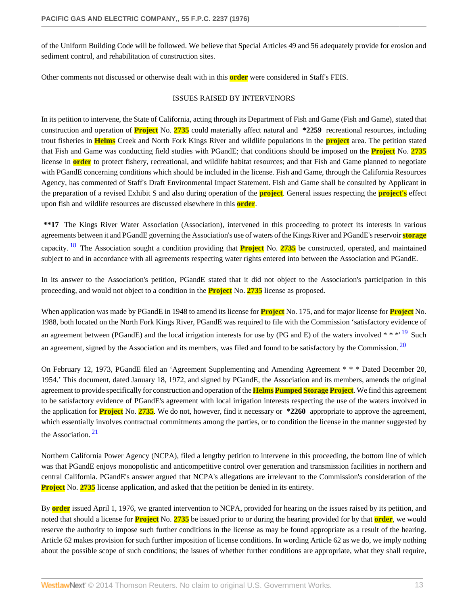of the Uniform Building Code will be followed. We believe that Special Articles 49 and 56 adequately provide for erosion and sediment control, and rehabilitation of construction sites.

Other comments not discussed or otherwise dealt with in this **order** were considered in Staff's FEIS.

#### <span id="page-12-2"></span><span id="page-12-1"></span>ISSUES RAISED BY INTERVENORS

In its petition to intervene, the State of California, acting through its Department of Fish and Game (Fish and Game), stated that construction and operation of **Project** No. **2735** could materially affect natural and **\*2259** recreational resources, including trout fisheries in **Helms** Creek and North Fork Kings River and wildlife populations in the **project** area. The petition stated that Fish and Game was conducting field studies with PGandE; that conditions should be imposed on the **Project** No. **2735** license in **order** to protect fishery, recreational, and wildlife habitat resources; and that Fish and Game planned to negotiate with PGandE concerning conditions which should be included in the license. Fish and Game, through the California Resources Agency, has commented of Staff's Draft Environmental Impact Statement. Fish and Game shall be consulted by Applicant in the preparation of a revised Exhibit S and also during operation of the **project**. General issues respecting the **project's** effect upon fish and wildlife resources are discussed elsewhere in this **order**.

<span id="page-12-0"></span>**\*\*17** The Kings River Water Association (Association), intervened in this proceeding to protect its interests in various agreements between it and PGandE governing the Association's use of waters of the Kings River and PGandE's reservoir **storage** capacity. [18](#page-29-4) The Association sought a condition providing that **Project** No. **2735** be constructed, operated, and maintained subject to and in accordance with all agreements respecting water rights entered into between the Association and PGandE.

In its answer to the Association's petition, PGandE stated that it did not object to the Association's participation in this proceeding, and would not object to a condition in the **Project** No. **2735** license as proposed.

When application was made by PGandE in 1948 to amend its license for **Project** No. 175, and for major license for **Project** No. 1988, both located on the North Fork Kings River, PGandE was required to file with the Commission 'satisfactory evidence of an agreement between (PGandE) and the local irrigation interests for use by (PG and E) of the waters involved  $* * *19$  $* * *19$  Such an agreement, signed by the Association and its members, was filed and found to be satisfactory by the Commission.<sup>[20](#page-29-6)</sup>

On February 12, 1973, PGandE filed an 'Agreement Supplementing and Amending Agreement \* \* \* Dated December 20, 1954.' This document, dated January 18, 1972, and signed by PGandE, the Association and its members, amends the original agreement to provide specifically for construction and operation of the **Helms PumpedStorage Project**. We find this agreement to be satisfactory evidence of PGandE's agreement with local irrigation interests respecting the use of the waters involved in the application for **Project** No. **2735**. We do not, however, find it necessary or **\*2260** appropriate to approve the agreement, which essentially involves contractual commitments among the parties, or to condition the license in the manner suggested by the Association. [21](#page-29-7)

<span id="page-12-3"></span>Northern California Power Agency (NCPA), filed a lengthy petition to intervene in this proceeding, the bottom line of which was that PGandE enjoys monopolistic and anticompetitive control over generation and transmission facilities in northern and central California. PGandE's answer argued that NCPA's allegations are irrelevant to the Commission's consideration of the **Project** No. 2735 license application, and asked that the petition be denied in its entirety.

By **order** issued April 1, 1976, we granted intervention to NCPA, provided for hearing on the issues raised by its petition, and noted that should a license for **Project** No. **2735** be issued prior to or during the hearing provided for by that **order**, we would reserve the authority to impose such further conditions in the license as may be found appropriate as a result of the hearing. Article 62 makes provision for such further imposition of license conditions. In wording Article 62 as we do, we imply nothing about the possible scope of such conditions; the issues of whether further conditions are appropriate, what they shall require,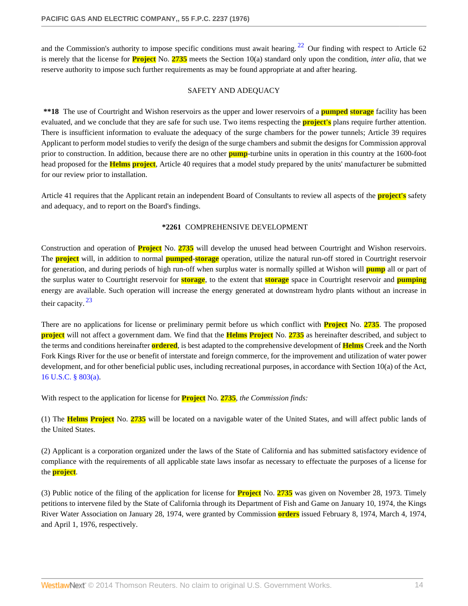and the Commission's authority to impose specific conditions must await hearing.  $22$  Our finding with respect to Article 62 is merely that the license for **Project** No. **2735** meets the Section 10(a) standard only upon the condition, *inter alia*, that we reserve authority to impose such further requirements as may be found appropriate at and after hearing.

#### <span id="page-13-0"></span>SAFETY AND ADEQUACY

**\*\*18** The use of Courtright and Wishon reservoirs as the upper and lower reservoirs of a **pumped storage** facility has been evaluated, and we conclude that they are safe for such use. Two items respecting the **project's** plans require further attention. There is insufficient information to evaluate the adequacy of the surge chambers for the power tunnels; Article 39 requires Applicant to perform model studies to verify the design of the surge chambers and submit the designs for Commission approval prior to construction. In addition, because there are no other **pump**-turbine units in operation in this country at the 1600-foot head proposed for the **Helms project**, Article 40 requires that a model study prepared by the units' manufacturer be submitted for our review prior to installation.

Article 41 requires that the Applicant retain an independent Board of Consultants to review all aspects of the **project's** safety and adequacy, and to report on the Board's findings.

#### **\*2261** COMPREHENSIVE DEVELOPMENT

Construction and operation of **Project** No. **2735** will develop the unused head between Courtright and Wishon reservoirs. The **project** will, in addition to normal **pumped**-**storage** operation, utilize the natural run-off stored in Courtright reservoir for generation, and during periods of high run-off when surplus water is normally spilled at Wishon will **pump** all or part of the surplus water to Courtright reservoir for **storage**, to the extent that **storage** space in Courtright reservoir and **pumping** energy are available. Such operation will increase the energy generated at downstream hydro plants without an increase in their capacity. [23](#page-29-9)

<span id="page-13-1"></span>There are no applications for license or preliminary permit before us which conflict with **Project** No. **2735**. The proposed **project** will not affect a government dam. We find that the **Helms Project** No. **2735** as hereinafter described, and subject to the terms and conditions hereinafter **ordered**, is best adapted to the comprehensive development of **Helms** Creek and the North Fork Kings River for the use or benefit of interstate and foreign commerce, for the improvement and utilization of water power development, and for other beneficial public uses, including recreational purposes, in accordance with Section 10(a) of the Act, [16 U.S.C. § 803\(a\).](http://www.westlaw.com/Link/Document/FullText?findType=L&pubNum=1000546&cite=16USCAS803&originatingDoc=I06d61d43391a11dbbb4d83d7c3c3a165&refType=LQ&originationContext=document&vr=3.0&rs=cblt1.0&transitionType=DocumentItem&contextData=(sc.Search))

With respect to the application for license for **Project** No. **2735**, *the Commission finds:*

(1) The **Helms Project** No. **2735** will be located on a navigable water of the United States, and will affect public lands of the United States.

(2) Applicant is a corporation organized under the laws of the State of California and has submitted satisfactory evidence of compliance with the requirements of all applicable state laws insofar as necessary to effectuate the purposes of a license for the **project**.

(3) Public notice of the filing of the application for license for **Project** No. **2735** was given on November 28, 1973. Timely petitions to intervene filed by the State of California through its Department of Fish and Game on January 10, 1974, the Kings River Water Association on January 28, 1974, were granted by Commission **orders** issued February 8, 1974, March 4, 1974, and April 1, 1976, respectively.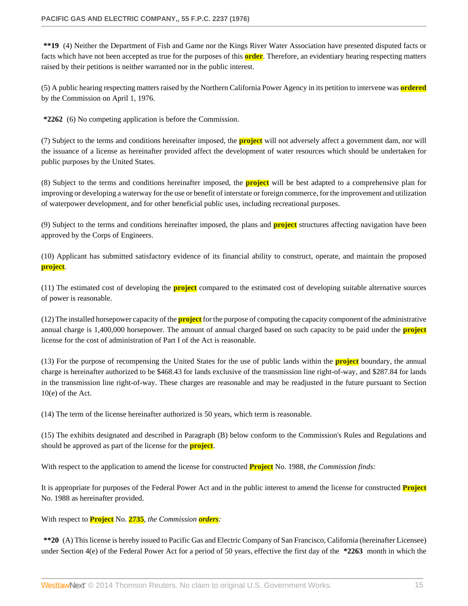**\*\*19** (4) Neither the Department of Fish and Game nor the Kings River Water Association have presented disputed facts or facts which have not been accepted as true for the purposes of this **order**. Therefore, an evidentiary hearing respecting matters raised by their petitions is neither warranted nor in the public interest.

(5) A public hearing respecting matters raised by the Northern California Power Agency in its petition to intervene was **ordered** by the Commission on April 1, 1976.

**\*2262** (6) No competing application is before the Commission.

(7) Subject to the terms and conditions hereinafter imposed, the **project** will not adversely affect a government dam, nor will the issuance of a license as hereinafter provided affect the development of water resources which should be undertaken for public purposes by the United States.

(8) Subject to the terms and conditions hereinafter imposed, the **project** will be best adapted to a comprehensive plan for improving or developing a waterway for the use or benefit of interstate or foreign commerce, for the improvement and utilization of waterpower development, and for other beneficial public uses, including recreational purposes.

(9) Subject to the terms and conditions hereinafter imposed, the plans and **project** structures affecting navigation have been approved by the Corps of Engineers.

(10) Applicant has submitted satisfactory evidence of its financial ability to construct, operate, and maintain the proposed **project**.

(11) The estimated cost of developing the **project** compared to the estimated cost of developing suitable alternative sources of power is reasonable.

(12) The installed horsepower capacity of the **project** for the purpose of computing the capacity component of the administrative annual charge is 1,400,000 horsepower. The amount of annual charged based on such capacity to be paid under the **project** license for the cost of administration of Part I of the Act is reasonable.

(13) For the purpose of recompensing the United States for the use of public lands within the **project** boundary, the annual charge is hereinafter authorized to be \$468.43 for lands exclusive of the transmission line right-of-way, and \$287.84 for lands in the transmission line right-of-way. These charges are reasonable and may be readjusted in the future pursuant to Section 10(e) of the Act.

(14) The term of the license hereinafter authorized is 50 years, which term is reasonable.

(15) The exhibits designated and described in Paragraph (B) below conform to the Commission's Rules and Regulations and should be approved as part of the license for the **project**.

With respect to the application to amend the license for constructed **Project** No. 1988, *the Commission finds:*

It is appropriate for purposes of the Federal Power Act and in the public interest to amend the license for constructed **Project** No. 1988 as hereinafter provided.

With respect to **Project** No. **2735**, *the Commission orders:*

**\*\*20** (A) This license is hereby issued to Pacific Gas and Electric Company of San Francisco, California (hereinafter Licensee) under Section 4(e) of the Federal Power Act for a period of 50 years, effective the first day of the **\*2263** month in which the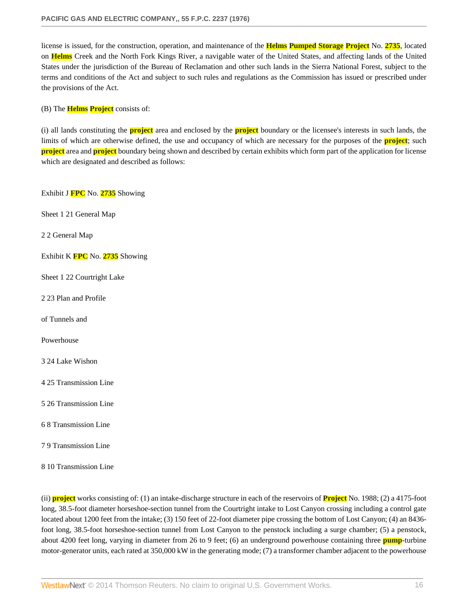license is issued, for the construction, operation, and maintenance of the **Helms Pumped Storage Project** No. **2735**, located on **Helms** Creek and the North Fork Kings River, a navigable water of the United States, and affecting lands of the United States under the jurisdiction of the Bureau of Reclamation and other such lands in the Sierra National Forest, subject to the terms and conditions of the Act and subject to such rules and regulations as the Commission has issued or prescribed under the provisions of the Act.

(B) The **Helms Project** consists of:

(i) all lands constituting the **project** area and enclosed by the **project** boundary or the licensee's interests in such lands, the limits of which are otherwise defined, the use and occupancy of which are necessary for the purposes of the **project**; such **project** area and **project** boundary being shown and described by certain exhibits which form part of the application for license which are designated and described as follows:

Exhibit J **FPC** No. **2735** Showing

Sheet 1 21 General Map

2 2 General Map

Exhibit K **FPC** No. **2735** Showing

Sheet 1 22 Courtright Lake

2 23 Plan and Profile

of Tunnels and

Powerhouse

3 24 Lake Wishon

4 25 Transmission Line

5 26 Transmission Line

6 8 Transmission Line

7 9 Transmission Line

8 10 Transmission Line

(ii) **project** works consisting of: (1) an intake-discharge structure in each of the reservoirs of **Project** No. 1988; (2) a 4175-foot long, 38.5-foot diameter horseshoe-section tunnel from the Courtright intake to Lost Canyon crossing including a control gate located about 1200 feet from the intake; (3) 150 feet of 22-foot diameter pipe crossing the bottom of Lost Canyon; (4) an 8436 foot long, 38.5-foot horseshoe-section tunnel from Lost Canyon to the penstock including a surge chamber; (5) a penstock, about 4200 feet long, varying in diameter from 26 to 9 feet; (6) an underground powerhouse containing three **pump**-turbine motor-generator units, each rated at 350,000 kW in the generating mode; (7) a transformer chamber adjacent to the powerhouse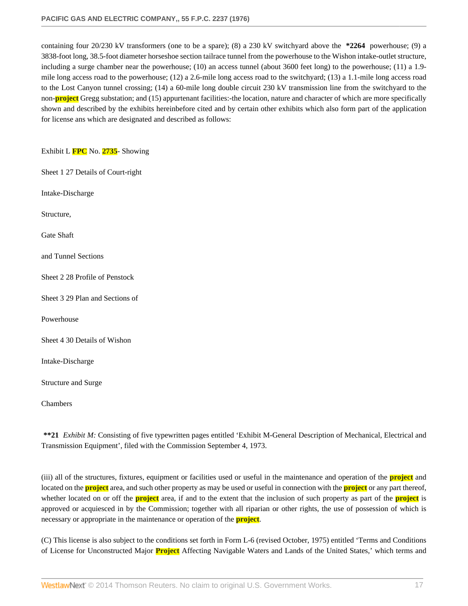containing four 20/230 kV transformers (one to be a spare); (8) a 230 kV switchyard above the **\*2264** powerhouse; (9) a 3838-foot long, 38.5-foot diameter horseshoe section tailrace tunnel from the powerhouse to the Wishon intake-outlet structure, including a surge chamber near the powerhouse; (10) an access tunnel (about 3600 feet long) to the powerhouse; (11) a 1.9 mile long access road to the powerhouse; (12) a 2.6-mile long access road to the switchyard; (13) a 1.1-mile long access road to the Lost Canyon tunnel crossing; (14) a 60-mile long double circuit 230 kV transmission line from the switchyard to the non-**project** Gregg substation; and (15) appurtenant facilities:-the location, nature and character of which are more specifically shown and described by the exhibits hereinbefore cited and by certain other exhibits which also form part of the application for license ans which are designated and described as follows:

Exhibit L **FPC** No. **2735**- Showing

Sheet 1 27 Details of Court-right

Intake-Discharge

Structure,

Gate Shaft

and Tunnel Sections

Sheet 2 28 Profile of Penstock

Sheet 3 29 Plan and Sections of

Powerhouse

Sheet 4 30 Details of Wishon

Intake-Discharge

Structure and Surge

Chambers

**\*\*21** *Exhibit M:* Consisting of five typewritten pages entitled 'Exhibit M-General Description of Mechanical, Electrical and Transmission Equipment', filed with the Commission September 4, 1973.

(iii) all of the structures, fixtures, equipment or facilities used or useful in the maintenance and operation of the **project** and located on the **project** area, and such other property as may be used or useful in connection with the **project** or any part thereof, whether located on or off the **project** area, if and to the extent that the inclusion of such property as part of the **project** is approved or acquiesced in by the Commission; together with all riparian or other rights, the use of possession of which is necessary or appropriate in the maintenance or operation of the **project**.

(C) This license is also subject to the conditions set forth in Form L-6 (revised October, 1975) entitled 'Terms and Conditions of License for Unconstructed Major **Project** Affecting Navigable Waters and Lands of the United States,' which terms and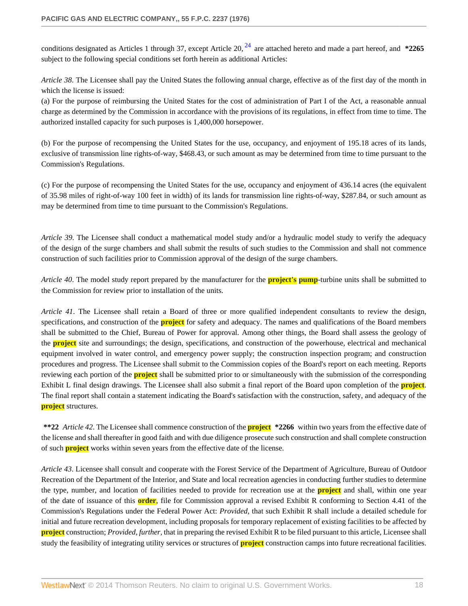<span id="page-17-0"></span>conditions designated as Articles 1 through 37, except Article 20, [24](#page-29-10) are attached hereto and made a part hereof, and **\*2265** subject to the following special conditions set forth herein as additional Articles:

*Article 38*. The Licensee shall pay the United States the following annual charge, effective as of the first day of the month in which the license is issued:

(a) For the purpose of reimbursing the United States for the cost of administration of Part I of the Act, a reasonable annual charge as determined by the Commission in accordance with the provisions of its regulations, in effect from time to time. The authorized installed capacity for such purposes is 1,400,000 horsepower.

(b) For the purpose of recompensing the United States for the use, occupancy, and enjoyment of 195.18 acres of its lands, exclusive of transmission line rights-of-way, \$468.43, or such amount as may be determined from time to time pursuant to the Commission's Regulations.

(c) For the purpose of recompensing the United States for the use, occupancy and enjoyment of 436.14 acres (the equivalent of 35.98 miles of right-of-way 100 feet in width) of its lands for transmission line rights-of-way, \$287.84, or such amount as may be determined from time to time pursuant to the Commission's Regulations.

*Article 39*. The Licensee shall conduct a mathematical model study and/or a hydraulic model study to verify the adequacy of the design of the surge chambers and shall submit the results of such studies to the Commission and shall not commence construction of such facilities prior to Commission approval of the design of the surge chambers.

*Article 40*. The model study report prepared by the manufacturer for the **project's pump**-turbine units shall be submitted to the Commission for review prior to installation of the units.

*Article 41*. The Licensee shall retain a Board of three or more qualified independent consultants to review the design, specifications, and construction of the **project** for safety and adequacy. The names and qualifications of the Board members shall be submitted to the Chief, Bureau of Power for approval. Among other things, the Board shall assess the geology of the **project** site and surroundings; the design, specifications, and construction of the powerhouse, electrical and mechanical equipment involved in water control, and emergency power supply; the construction inspection program; and construction procedures and progress. The Licensee shall submit to the Commission copies of the Board's report on each meeting. Reports reviewing each portion of the **project** shall be submitted prior to or simultaneously with the submission of the corresponding Exhibit L final design drawings. The Licensee shall also submit a final report of the Board upon completion of the **project**. The final report shall contain a statement indicating the Board's satisfaction with the construction, safety, and adequacy of the **project** structures.

**\*\*22** *Article 42*. The Licensee shall commence construction of the **project \*2266** within two years from the effective date of the license and shall thereafter in good faith and with due diligence prosecute such construction and shall complete construction of such **project** works within seven years from the effective date of the license.

*Article 43*. Licensee shall consult and cooperate with the Forest Service of the Department of Agriculture, Bureau of Outdoor Recreation of the Department of the Interior, and State and local recreation agencies in conducting further studies to determine the type, number, and location of facilities needed to provide for recreation use at the **project** and shall, within one year of the date of issuance of this **order**, file for Commission approval a revised Exhibit R conforming to Section 4.41 of the Commission's Regulations under the Federal Power Act: *Provided*, that such Exhibit R shall include a detailed schedule for initial and future recreation development, including proposals for temporary replacement of existing facilities to be affected by **project** construction; *Provided, further*, that in preparing the revised Exhibit R to be filed pursuant to this article, Licensee shall study the feasibility of integrating utility services or structures of **project** construction camps into future recreational facilities.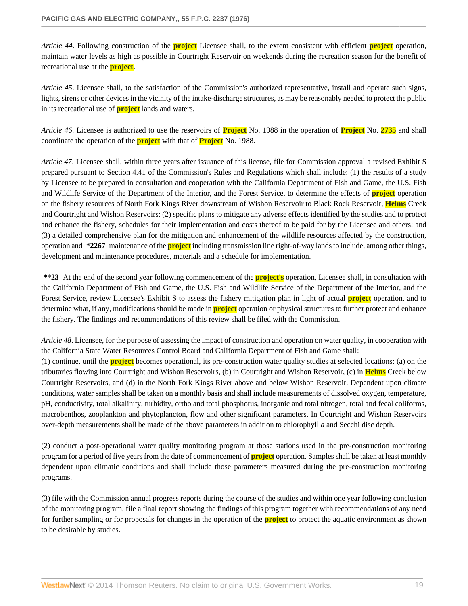*Article 44*. Following construction of the **project** Licensee shall, to the extent consistent with efficient **project** operation, maintain water levels as high as possible in Courtright Reservoir on weekends during the recreation season for the benefit of recreational use at the **project**.

*Article 45*. Licensee shall, to the satisfaction of the Commission's authorized representative, install and operate such signs, lights, sirens or other devices in the vicinity of the intake-discharge structures, as may be reasonably needed to protect the public in its recreational use of **project** lands and waters.

*Article 46*. Licensee is authorized to use the reservoirs of **Project** No. 1988 in the operation of **Project** No. **2735** and shall coordinate the operation of the **project** with that of **Project** No. 1988.

*Article 47*. Licensee shall, within three years after issuance of this license, file for Commission approval a revised Exhibit S prepared pursuant to Section 4.41 of the Commission's Rules and Regulations which shall include: (1) the results of a study by Licensee to be prepared in consultation and cooperation with the California Department of Fish and Game, the U.S. Fish and Wildlife Service of the Department of the Interior, and the Forest Service, to determine the effects of **project** operation on the fishery resources of North Fork Kings River downstream of Wishon Reservoir to Black Rock Reservoir, **Helms** Creek and Courtright and Wishon Reservoirs; (2) specific plans to mitigate any adverse effects identified by the studies and to protect and enhance the fishery, schedules for their implementation and costs thereof to be paid for by the Licensee and others; and (3) a detailed comprehensive plan for the mitigation and enhancement of the wildlife resources affected by the construction, operation and **\*2267** maintenance of the **project** including transmission line right-of-way lands to include, among other things, development and maintenance procedures, materials and a schedule for implementation.

**\*\*23** At the end of the second year following commencement of the **project's** operation, Licensee shall, in consultation with the California Department of Fish and Game, the U.S. Fish and Wildlife Service of the Department of the Interior, and the Forest Service, review Licensee's Exhibit S to assess the fishery mitigation plan in light of actual **project** operation, and to determine what, if any, modifications should be made in **project** operation or physical structures to further protect and enhance the fishery. The findings and recommendations of this review shall be filed with the Commission.

*Article 48*. Licensee, for the purpose of assessing the impact of construction and operation on water quality, in cooperation with the California State Water Resources Control Board and California Department of Fish and Game shall:

(1) continue, until the **project** becomes operational, its pre-construction water quality studies at selected locations: (a) on the tributaries flowing into Courtright and Wishon Reservoirs, (b) in Courtright and Wishon Reservoir, (c) in **Helms** Creek below Courtright Reservoirs, and (d) in the North Fork Kings River above and below Wishon Reservoir. Dependent upon climate conditions, water samples shall be taken on a monthly basis and shall include measurements of dissolved oxygen, temperature, pH, conductivity, total alkalinity, turbidity, ortho and total phosphorus, inorganic and total nitrogen, total and fecal coliforms, macrobenthos, zooplankton and phytoplancton, flow and other significant parameters. In Courtright and Wishon Reservoirs over-depth measurements shall be made of the above parameters in addition to chlorophyll *a* and Secchi disc depth.

(2) conduct a post-operational water quality monitoring program at those stations used in the pre-construction monitoring program for a period of five years from the date of commencement of **project** operation. Samples shall be taken at least monthly dependent upon climatic conditions and shall include those parameters measured during the pre-construction monitoring programs.

(3) file with the Commission annual progress reports during the course of the studies and within one year following conclusion of the monitoring program, file a final report showing the findings of this program together with recommendations of any need for further sampling or for proposals for changes in the operation of the **project** to protect the aquatic environment as shown to be desirable by studies.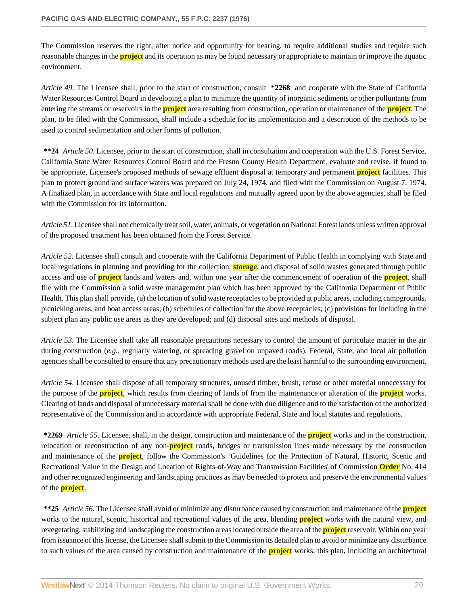The Commission reserves the right, after notice and opportunity for hearing, to require additional studies and require such reasonable changes in the **project** and its operation as may be found necessary or appropriate to maintain or improve the aquatic environment.

*Article 49*. The Licensee shall, prior to the start of construction, consult **\*2268** and cooperate with the State of California Water Resources Control Board in developing a plan to minimize the quantity of inorganic sediments or other polluntants from entering the streams or reservoirs in the **project** area resulting from construction, operation or maintenance of the **project**. The plan, to be filed with the Commission, shall include a schedule for its implementation and a description of the methods to be used to control sedimentation and other forms of pollution.

**\*\*24** *Article 50*. Licensee, prior to the start of construction, shall in consultation and cooperation with the U.S. Forest Service, California State Water Resources Control Board and the Fresno County Health Department, evaluate and revise, if found to be appropriate, Licensee's proposed methods of sewage effluent disposal at temporary and permanent **project** facilities. This plan to protect ground and surface waters was prepared on July 24, 1974, and filed with the Commission on August 7, 1974. A finalized plan, in accordance with State and local regulations and mutually agreed upon by the above agencies, shall be filed with the Commission for its information.

*Article 51*. Licensee shall not chemically treat soil, water, animals, or vegetation on National Forest lands unless written approval of the proposed treatment has been obtained from the Forest Service.

*Article 52*. Licensee shall consult and cooperate with the California Department of Public Health in complying with State and local regulations in planning and providing for the collection, **storage**, and disposal of solid wastes generated through public access and use of **project** lands and waters and, within one year after the commencement of operation of the **project**, shall file with the Commission a solid waste management plan which has been approved by the California Department of Public Health. This plan shall provide, (a) the location of solid waste receptacles to be provided at public areas, including campgrounds, picnicking areas, and boat access areas; (b) schedules of collection for the above receptacles; (c) provisions for including in the subject plan any public use areas as they are developed; and (d) disposal sites and methods of disposal.

*Article 53*. The Licensee shall take all reasonable precautions necessary to control the amount of particulate matter in the air during construction (*e.g.*, regularly watering, or spreading gravel on unpaved roads). Federal, State, and local air pollution agencies shall be consulted to ensure that any precautionary methods used are the least harmful to the surrounding environment.

*Article 54*. Licensee shall dispose of all temporary structures, unused timber, brush, refuse or other material unnecessary for the purpose of the **project**, which results from clearing of lands of from the maintenance or alteration of the **project** works. Clearing of lands and disposal of unnecessary material shall be done with due diligence and to the satisfaction of the authorized representative of the Commission and in accordance with appropriate Federal, State and local statutes and regulations.

**\*2269** *Article 55*. Licensee, shall, in the design, construction and maintenance of the **project** works and in the construction, relocation or reconstruction of any non-**project** roads, bridges or transmission lines made necessary by the construction and maintenance of the **project**, follow the Commission's 'Guidelines for the Protection of Natural, Historic, Scenic and Recreational Value in the Design and Location of Rights-of-Way and Transmission Facilities' of Commission **Order** No. 414 and other recognized engineering and landscaping practices as may be needed to protect and preserve the environmental values of the **project**.

**\*\*25** *Article 56*. The Licensee shall avoid or minimize any disturbance caused by construction and maintenance of the **project** works to the natural, scenic, historical and recreational values of the area, blending **project** works with the natural view, and revegetating, stabilizing and landscaping the construction areas located outside the area of the **project** reservoir. Within one year from issuance of this license, the Licensee shall submit to the Commission its detailed plan to avoid or minimize any disturbance to such values of the area caused by construction and maintenance of the **project** works; this plan, including an architectural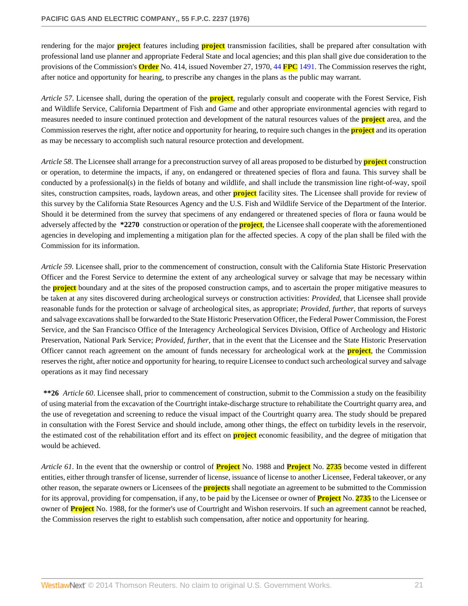rendering for the major **project** features including **project** transmission facilities, shall be prepared after consultation with professional land use planner and appropriate Federal State and local agencies; and this plan shall give due consideration to the provisions of the Commission's **Order** No. 414, issued November 27, 1970, 44 **FPC** [1491.](http://www.westlaw.com/Link/Document/FullText?findType=Y&serNum=1970090745&pubNum=921&originationContext=document&vr=3.0&rs=cblt1.0&transitionType=DocumentItem&contextData=(sc.Search)) The Commission reserves the right, after notice and opportunity for hearing, to prescribe any changes in the plans as the public may warrant.

*Article 57*. Licensee shall, during the operation of the **project**, regularly consult and cooperate with the Forest Service, Fish and Wildlife Service, California Department of Fish and Game and other appropriate environmental agencies with regard to measures needed to insure continued protection and development of the natural resources values of the **project** area, and the Commission reserves the right, after notice and opportunity for hearing, to require such changes in the **project** and its operation as may be necessary to accomplish such natural resource protection and development.

*Article 58*. The Licensee shall arrange for a preconstruction survey of all areas proposed to be disturbed by **project** construction or operation, to determine the impacts, if any, on endangered or threatened species of flora and fauna. This survey shall be conducted by a professional(s) in the fields of botany and wildlife, and shall include the transmission line right-of-way, spoil sites, construction campsites, roads, laydown areas, and other **project** facility sites. The Licensee shall provide for review of this survey by the California State Resources Agency and the U.S. Fish and Wildlife Service of the Department of the Interior. Should it be determined from the survey that specimens of any endangered or threatened species of flora or fauna would be adversely affected by the **\*2270** construction or operation of the **project**, the Licensee shall cooperate with the aforementioned agencies in developing and implementing a mitigation plan for the affected species. A copy of the plan shall be filed with the Commission for its information.

*Article 59*. Licensee shall, prior to the commencement of construction, consult with the California State Historic Preservation Officer and the Forest Service to determine the extent of any archeological survey or salvage that may be necessary within the **project** boundary and at the sites of the proposed construction camps, and to ascertain the proper mitigative measures to be taken at any sites discovered during archeological surveys or construction activities: *Provided*, that Licensee shall provide reasonable funds for the protection or salvage of archeological sites, as appropriate; *Provided, further*, that reports of surveys and salvage excavations shall be forwarded to the State Historic Preservation Officer, the Federal Power Commission, the Forest Service, and the San Francisco Office of the Interagency Archeological Services Division, Office of Archeology and Historic Preservation, National Park Service; *Provided, further*, that in the event that the Licensee and the State Historic Preservation Officer cannot reach agreement on the amount of funds necessary for archeological work at the **project**, the Commission reserves the right, after notice and opportunity for hearing, to require Licensee to conduct such archeological survey and salvage operations as it may find necessary

**\*\*26** *Article 60*. Licensee shall, prior to commencement of construction, submit to the Commission a study on the feasibility of using material from the excavation of the Courtright intake-discharge structure to rehabilitate the Courtright quarry area, and the use of revegetation and screening to reduce the visual impact of the Courtright quarry area. The study should be prepared in consultation with the Forest Service and should include, among other things, the effect on turbidity levels in the reservoir, the estimated cost of the rehabilitation effort and its effect on **project** economic feasibility, and the degree of mitigation that would be achieved.

*Article 61*. In the event that the ownership or control of **Project** No. 1988 and **Project** No. **2735** become vested in different entities, either through transfer of license, surrender of license, issuance of license to another Licensee, Federal takeover, or any other reason, the separate owners or Licensees of the **projects** shall negotiate an agreement to be submitted to the Commission for its approval, providing for compensation, if any, to be paid by the Licensee or owner of **Project** No. **2735** to the Licensee or owner of **Project** No. 1988, for the former's use of Courtright and Wishon reservoirs. If such an agreement cannot be reached, the Commission reserves the right to establish such compensation, after notice and opportunity for hearing.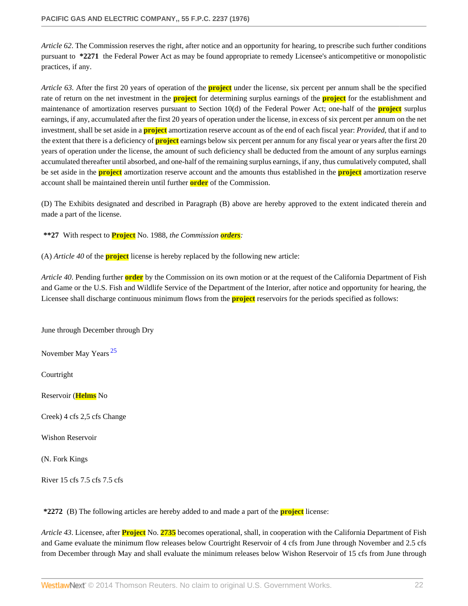*Article 62*. The Commission reserves the right, after notice and an opportunity for hearing, to prescribe such further conditions pursuant to **\*2271** the Federal Power Act as may be found appropriate to remedy Licensee's anticompetitive or monopolistic practices, if any.

*Article 63*. After the first 20 years of operation of the **project** under the license, six percent per annum shall be the specified rate of return on the net investment in the **project** for determining surplus earnings of the **project** for the establishment and maintenance of amortization reserves pursuant to Section 10(d) of the Federal Power Act; one-half of the **project** surplus earnings, if any, accumulated after the first 20 years of operation under the license, in excess of six percent per annum on the net investment, shall be set aside in a **project** amortization reserve account as of the end of each fiscal year: *Provided*, that if and to the extent that there is a deficiency of **project** earnings below six percent per annum for any fiscal year or years after the first 20 years of operation under the license, the amount of such deficiency shall be deducted from the amount of any surplus earnings accumulated thereafter until absorbed, and one-half of the remaining surplus earnings, if any, thus cumulatively computed, shall be set aside in the **project** amortization reserve account and the amounts thus established in the **project** amortization reserve account shall be maintained therein until further **order** of the Commission.

(D) The Exhibits designated and described in Paragraph (B) above are hereby approved to the extent indicated therein and made a part of the license.

**\*\*27** With respect to **Project** No. 1988, *the Commission orders:*

(A) *Article 40* of the **project** license is hereby replaced by the following new article:

*Article 40*. Pending further **order** by the Commission on its own motion or at the request of the California Department of Fish and Game or the U.S. Fish and Wildlife Service of the Department of the Interior, after notice and opportunity for hearing, the Licensee shall discharge continuous minimum flows from the **project** reservoirs for the periods specified as follows:

June through December through Dry

<span id="page-21-0"></span>November May Years<sup>[25](#page-29-11)</sup>

Courtright

Reservoir (**Helms** No

Creek) 4 cfs 2,5 cfs Change

Wishon Reservoir

(N. Fork Kings

River 15 cfs 7.5 cfs 7.5 cfs

**\*2272** (B) The following articles are hereby added to and made a part of the **project** license:

*Article 43*. Licensee, after **Project** No. **2735** becomes operational, shall, in cooperation with the California Department of Fish and Game evaluate the minimum flow releases below Courtright Reservoir of 4 cfs from June through November and 2.5 cfs from December through May and shall evaluate the minimum releases below Wishon Reservoir of 15 cfs from June through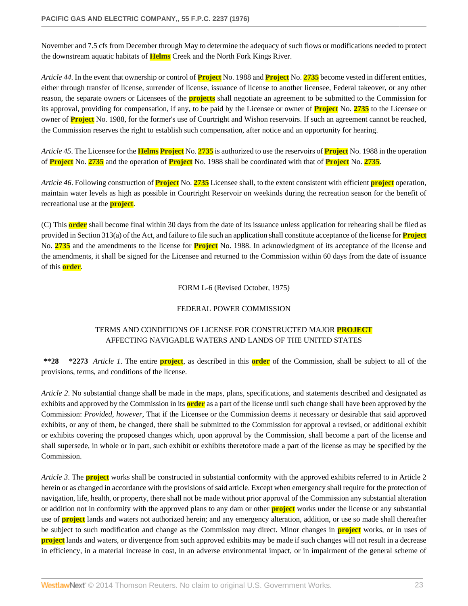November and 7.5 cfs from December through May to determine the adequacy of such flows or modifications needed to protect the downstream aquatic habitats of **Helms** Creek and the North Fork Kings River.

*Article 44*. In the event that ownership or control of **Project** No. 1988 and **Project** No. **2735** become vested in different entities, either through transfer of license, surrender of license, issuance of license to another licensee, Federal takeover, or any other reason, the separate owners or Licensees of the **projects** shall negotiate an agreement to be submitted to the Commission for its approval, providing for compensation, if any, to be paid by the Licensee or owner of **Project** No. **2735** to the Licensee or owner of **Project** No. 1988, for the former's use of Courtright and Wishon reservoirs. If such an agreement cannot be reached, the Commission reserves the right to establish such compensation, after notice and an opportunity for hearing.

*Article 45*. The Licensee for the **Helms Project** No. **2735** is authorized to use the reservoirs of **Project** No. 1988 in the operation of **Project** No. **2735** and the operation of **Project** No. 1988 shall be coordinated with that of **Project** No. **2735**.

*Article 46*. Following construction of **Project** No. **2735** Licensee shall, to the extent consistent with efficient **project** operation, maintain water levels as high as possible in Courtright Reservoir on weekinds during the recreation season for the benefit of recreational use at the **project**.

(C) This **order** shall become final within 30 days from the date of its issuance unless application for rehearing shall be filed as provided in Section 313(a) of the Act, and failure to file such an application shall constitute acceptance of the license for **Project** No. **2735** and the amendments to the license for **Project** No. 1988. In acknowledgment of its acceptance of the license and the amendments, it shall be signed for the Licensee and returned to the Commission within 60 days from the date of issuance of this **order**.

FORM L-6 (Revised October, 1975)

## FEDERAL POWER COMMISSION

# TERMS AND CONDITIONS OF LICENSE FOR CONSTRUCTED MAJOR **PROJECT** AFFECTING NAVIGABLE WATERS AND LANDS OF THE UNITED STATES

**\*\*28 \*2273** *Article 1*. The entire **project**, as described in this **order** of the Commission, shall be subject to all of the provisions, terms, and conditions of the license.

*Article 2*. No substantial change shall be made in the maps, plans, specifications, and statements described and designated as exhibits and approved by the Commission in its **order** as a part of the license until such change shall have been approved by the Commission: *Provided, however*, That if the Licensee or the Commission deems it necessary or desirable that said approved exhibits, or any of them, be changed, there shall be submitted to the Commission for approval a revised, or additional exhibit or exhibits covering the proposed changes which, upon approval by the Commission, shall become a part of the license and shall supersede, in whole or in part, such exhibit or exhibits theretofore made a part of the license as may be specified by the Commission.

*Article 3*. The **project** works shall be constructed in substantial conformity with the approved exhibits referred to in Article 2 herein or as changed in accordance with the provisions of said article. Except when emergency shall require for the protection of navigation, life, health, or property, there shall not be made without prior approval of the Commission any substantial alteration or addition not in conformity with the approved plans to any dam or other **project** works under the license or any substantial use of **project** lands and waters not authorized herein; and any emergency alteration, addition, or use so made shall thereafter be subject to such modification and change as the Commission may direct. Minor changes in **project** works, or in uses of **project** lands and waters, or divergence from such approved exhibits may be made if such changes will not result in a decrease in efficiency, in a material increase in cost, in an adverse environmental impact, or in impairment of the general scheme of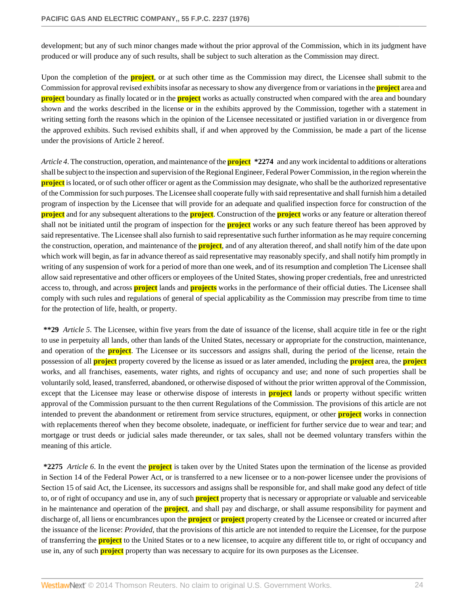development; but any of such minor changes made without the prior approval of the Commission, which in its judgment have produced or will produce any of such results, shall be subject to such alteration as the Commission may direct.

Upon the completion of the **project**, or at such other time as the Commission may direct, the Licensee shall submit to the Commission for approval revised exhibits insofar as necessary to show any divergence from or variations in the **project** area and **project** boundary as finally located or in the **project** works as actually constructed when compared with the area and boundary shown and the works described in the license or in the exhibits approved by the Commission, together with a statement in writing setting forth the reasons which in the opinion of the Licensee necessitated or justified variation in or divergence from the approved exhibits. Such revised exhibits shall, if and when approved by the Commission, be made a part of the license under the provisions of Article 2 hereof.

*Article 4*. The construction, operation, and maintenance of the **project \*2274** and any work incidental to additions or alterations shall be subject to the inspection and supervision of the Regional Engineer, Federal Power Commission, in the region wherein the **project** is located, or of such other officer or agent as the Commission may designate, who shall be the authorized representative of the Commission for such purposes. The Licensee shall cooperate fully with said representative and shall furnish him a detailed program of inspection by the Licensee that will provide for an adequate and qualified inspection force for construction of the **project** and for any subsequent alterations to the **project**. Construction of the **project** works or any feature or alteration thereof shall not be initiated until the program of inspection for the **project** works or any such feature thereof has been approved by said representative. The Licensee shall also furnish to said representative such further information as he may require concerning the construction, operation, and maintenance of the **project**, and of any alteration thereof, and shall notify him of the date upon which work will begin, as far in advance thereof as said representative may reasonably specify, and shall notify him promptly in writing of any suspension of work for a period of more than one week, and of its resumption and completion The Licensee shall allow said representative and other officers or employees of the United States, showing proper credentials, free and unrestricted access to, through, and across **project** lands and **projects** works in the performance of their official duties. The Licensee shall comply with such rules and regulations of general of special applicability as the Commission may prescribe from time to time for the protection of life, health, or property.

**\*\*29** *Article 5*. The Licensee, within five years from the date of issuance of the license, shall acquire title in fee or the right to use in perpetuity all lands, other than lands of the United States, necessary or appropriate for the construction, maintenance, and operation of the **project**. The Licensee or its successors and assigns shall, during the period of the license, retain the possession of all **project** property covered by the license as issued or as later amended, including the **project** area, the **project** works, and all franchises, easements, water rights, and rights of occupancy and use; and none of such properties shall be voluntarily sold, leased, transferred, abandoned, or otherwise disposed of without the prior written approval of the Commission, except that the Licensee may lease or otherwise dispose of interests in **project** lands or property without specific written approval of the Commission pursuant to the then current Regulations of the Commission. The provisions of this article are not intended to prevent the abandonment or retirement from service structures, equipment, or other **project** works in connection with replacements thereof when they become obsolete, inadequate, or inefficient for further service due to wear and tear; and mortgage or trust deeds or judicial sales made thereunder, or tax sales, shall not be deemed voluntary transfers within the meaning of this article.

**\*2275** *Article 6*. In the event the **project** is taken over by the United States upon the termination of the license as provided in Section 14 of the Federal Power Act, or is transferred to a new licensee or to a non-power licensee under the provisions of Section 15 of said Act, the Licensee, its successors and assigns shall be responsible for, and shall make good any defect of title to, or of right of occupancy and use in, any of such **project** property that is necessary or appropriate or valuable and serviceable in he maintenance and operation of the **project**, and shall pay and discharge, or shall assume responsibility for payment and discharge of, all liens or encumbrances upon the **project** or **project** property created by the Licensee or created or incurred after the issuance of the license: *Provided*, that the provisions of this article are not intended to require the Licensee, for the purpose of transferring the **project** to the United States or to a new licensee, to acquire any different title to, or right of occupancy and use in, any of such **project** property than was necessary to acquire for its own purposes as the Licensee.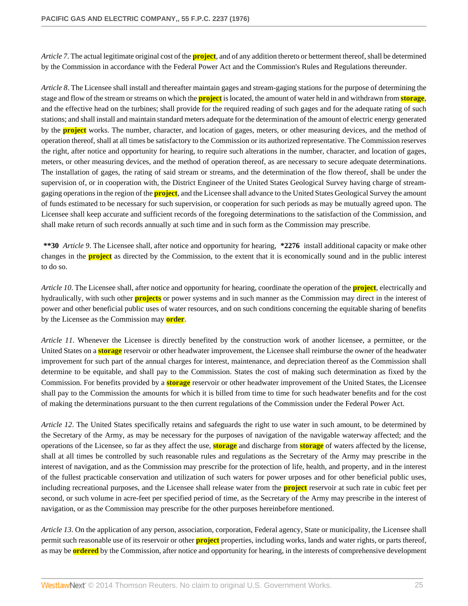*Article 7*. The actual legitimate original cost of the **project**, and of any addition thereto or betterment thereof, shall be determined by the Commission in accordance with the Federal Power Act and the Commission's Rules and Regulations thereunder.

*Article 8*. The Licensee shall install and thereafter maintain gages and stream-gaging stations for the purpose of determining the stage and flow of the stream or streams on which the **project** is located, the amount of water held in and withdrawn from **storage**, and the effective head on the turbines; shall provide for the required reading of such gages and for the adequate rating of such stations; and shall install and maintain standard meters adequate for the determination of the amount of electric energy generated by the **project** works. The number, character, and location of gages, meters, or other measuring devices, and the method of operation thereof, shall at all times be satisfactory to the Commission or its authorized representative. The Commission reserves the right, after notice and opportunity for hearing, to require such alterations in the number, character, and location of gages, meters, or other measuring devices, and the method of operation thereof, as are necessary to secure adequate determinations. The installation of gages, the rating of said stream or streams, and the determination of the flow thereof, shall be under the supervision of, or in cooperation with, the District Engineer of the United States Geological Survey having charge of streamgaging operations in the region of the **project**, and the Licensee shall advance to the United States Geological Survey the amount of funds estimated to be necessary for such supervision, or cooperation for such periods as may be mutually agreed upon. The Licensee shall keep accurate and sufficient records of the foregoing determinations to the satisfaction of the Commission, and shall make return of such records annually at such time and in such form as the Commission may prescribe.

**\*\*30** *Article 9*. The Licensee shall, after notice and opportunity for hearing, **\*2276** install additional capacity or make other changes in the **project** as directed by the Commission, to the extent that it is economically sound and in the public interest to do so.

*Article 10*. The Licensee shall, after notice and opportunity for hearing, coordinate the operation of the **project**, electrically and hydraulically, with such other **projects** or power systems and in such manner as the Commission may direct in the interest of power and other beneficial public uses of water resources, and on such conditions concerning the equitable sharing of benefits by the Licensee as the Commission may **order**.

*Article 11*. Whenever the Licensee is directly benefited by the construction work of another licensee, a permittee, or the United States on a **storage** reservoir or other headwater improvement, the Licensee shall reimburse the owner of the headwater improvement for such part of the annual charges for interest, maintenance, and depreciation thereof as the Commission shall determine to be equitable, and shall pay to the Commission. States the cost of making such determination as fixed by the Commission. For benefits provided by a **storage** reservoir or other headwater improvement of the United States, the Licensee shall pay to the Commission the amounts for which it is billed from time to time for such headwater benefits and for the cost of making the determinations pursuant to the then current regulations of the Commission under the Federal Power Act.

*Article 12*. The United States specifically retains and safeguards the right to use water in such amount, to be determined by the Secretary of the Army, as may be necessary for the purposes of navigation of the navigable waterway affected; and the operations of the Licensee, so far as they affect the use, **storage** and discharge from **storage** of waters affected by the license, shall at all times be controlled by such reasonable rules and regulations as the Secretary of the Army may prescribe in the interest of navigation, and as the Commission may prescribe for the protection of life, health, and property, and in the interest of the fullest practicable conservation and utilization of such waters for power urposes and for other beneficial public uses, including recreational purposes, and the Licensee shall release water from the **project** reservoir at such rate in cubic feet per second, or such volume in acre-feet per specified period of time, as the Secretary of the Army may prescribe in the interest of navigation, or as the Commission may prescribe for the other purposes hereinbefore mentioned.

*Article 13*. On the application of any person, association, corporation, Federal agency, State or municipality, the Licensee shall permit such reasonable use of its reservoir or other **project** properties, including works, lands and water rights, or parts thereof, as may be **ordered** by the Commission, after notice and opportunity for hearing, in the interests of comprehensive development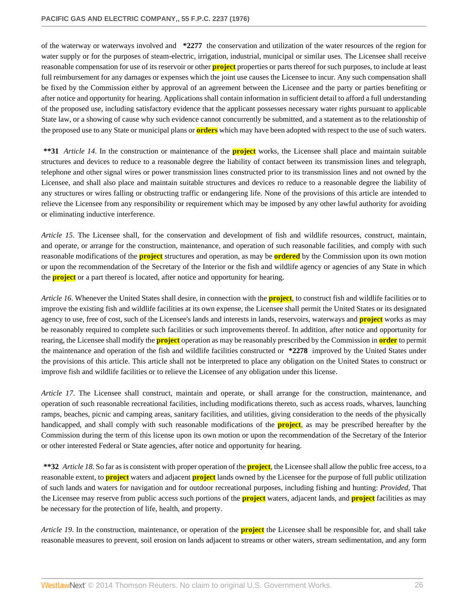of the waterway or waterways involved and **\*2277** the conservation and utilization of the water resources of the region for water supply or for the purposes of steam-electric, irrigation, industrial, municipal or similar uses. The Licensee shall receive reasonable compensation for use of its reservoir or other **project** properties or parts thereof for such purposes, to include at least full reimbursement for any damages or expenses which the joint use causes the Licensee to incur. Any such compensation shall be fixed by the Commission either by approval of an agreement between the Licensee and the party or parties benefiting or after notice and opportunity for hearing. Applications shall contain information in sufficient detail to afford a full understanding of the proposed use, including satisfactory evidence that the applicant possesses necessary water rights pursuant to applicable State law, or a showing of cause why such evidence cannot concurrently be submitted, and a statement as to the relationship of the proposed use to any State or municipal plans or **orders** which may have been adopted with respect to the use of such waters.

**\*\*31** *Article 14*. In the construction or maintenance of the **project** works, the Licensee shall place and maintain suitable structures and devices to reduce to a reasonable degree the liability of contact between its transmission lines and telegraph, telephone and other signal wires or power transmission lines constructed prior to its transmission lines and not owned by the Licensee, and shall also place and maintain suitable structures and devices ro reduce to a reasonable degree the liability of any structures or wires falling or obstructing traffic or endangering life. None of the provisions of this article are intended to relieve the Licensee from any responsibility or requirement which may be imposed by any other lawful authority for avoiding or eliminating inductive interference.

*Article 15*. The Licensee shall, for the conservation and development of fish and wildlife resources, construct, maintain, and operate, or arrange for the construction, maintenance, and operation of such reasonable facilities, and comply with such reasonable modifications of the **project** structures and operation, as may be **ordered** by the Commission upon its own motion or upon the recommendation of the Secretary of the Interior or the fish and wildlife agency or agencies of any State in which the **project** or a part thereof is located, after notice and opportunity for hearing.

*Article 16*. Whenever the United States shall desire, in connection with the **project**, to construct fish and wildlife facilities or to improve the existing fish and wildlife facilities at its own expense, the Licensee shall permit the United States or its designated agency to use, free of cost, such of the Licensee's lands and interests in lands, reservoirs, waterways and **project** works as may be reasonably required to complete such facilities or such improvements thereof. In addition, after notice and opportunity for rearing, the Licensee shall modify the **project** operation as may be reasonably prescribed by the Commission in **order** to permit the maintenance and operation of the fish and wildlife facilities constructed or **\*2278** improved by the United States under the provisions of this article. This article shall not be interpreted to place any obligation on the United States to construct or improve fish and wildlife facilities or to relieve the Licensee of any obligation under this license.

*Article 17*. The Licensee shall construct, maintain and operate, or shall arrange for the construction, maintenance, and operation of such reasonable recreational facilities, including modifications thereto, such as access roads, wharves, launching ramps, beaches, picnic and camping areas, sanitary facilities, and utilities, giving consideration to the needs of the physically handicapped, and shall comply with such reasonable modifications of the **project**, as may be prescribed hereafter by the Commission during the term of this license upon its own motion or upon the recommendation of the Secretary of the Interior or other interested Federal or State agencies, after notice and opportunity for hearing.

**\*\*32** *Article 18*. So far as is consistent with proper operation of the **project**, the Licensee shall allow the public free access, to a reasonable extent, to **project** waters and adjacent **project** lands owned by the Licensee for the purpose of full public utilization of such lands and waters for navigation and for outdoor recreational purposes, including fishing and hunting: *Provided*, That the Licensee may reserve from public access such portions of the **project** waters, adjacent lands, and **project** facilities as may be necessary for the protection of life, health, and property.

*Article 19*. In the construction, maintenance, or operation of the **project** the Licensee shall be responsible for, and shall take reasonable measures to prevent, soil erosion on lands adjacent to streams or other waters, stream sedimentation, and any form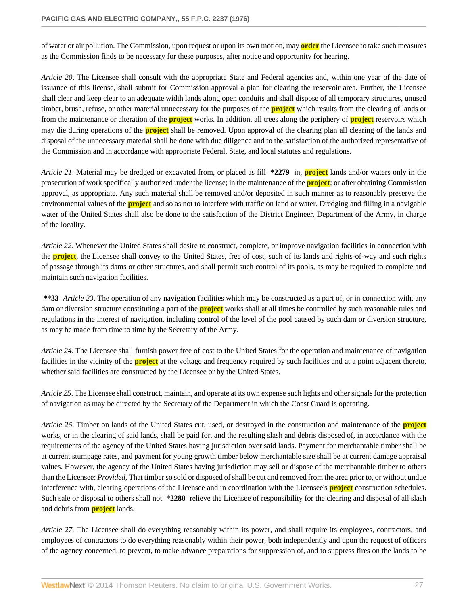of water or air pollution. The Commission, upon request or upon its own motion, may **order** the Licensee to take such measures as the Commission finds to be necessary for these purposes, after notice and opportunity for hearing.

*Article 20*. The Licensee shall consult with the appropriate State and Federal agencies and, within one year of the date of issuance of this license, shall submit for Commission approval a plan for clearing the reservoir area. Further, the Licensee shall clear and keep clear to an adequate width lands along open conduits and shall dispose of all temporary structures, unused timber, brush, refuse, or other material unnecessary for the purposes of the **project** which results from the clearing of lands or from the maintenance or alteration of the **project** works. In addition, all trees along the periphery of **project** reservoirs which may die during operations of the **project** shall be removed. Upon approval of the clearing plan all clearing of the lands and disposal of the unnecessary material shall be done with due diligence and to the satisfaction of the authorized representative of the Commission and in accordance with appropriate Federal, State, and local statutes and regulations.

*Article 21*. Material may be dredged or excavated from, or placed as fill **\*2279** in, **project** lands and/or waters only in the prosecution of work specifically authorized under the license; in the maintenance of the **project**; or after obtaining Commission approval, as appropriate. Any such material shall be removed and/or deposited in such manner as to reasonably preserve the environmental values of the **project** and so as not to interfere with traffic on land or water. Dredging and filling in a navigable water of the United States shall also be done to the satisfaction of the District Engineer, Department of the Army, in charge of the locality.

*Article 22*. Whenever the United States shall desire to construct, complete, or improve navigation facilities in connection with the **project**, the Licensee shall convey to the United States, free of cost, such of its lands and rights-of-way and such rights of passage through its dams or other structures, and shall permit such control of its pools, as may be required to complete and maintain such navigation facilities.

**\*\*33** *Article 23*. The operation of any navigation facilities which may be constructed as a part of, or in connection with, any dam or diversion structure constituting a part of the **project** works shall at all times be controlled by such reasonable rules and regulations in the interest of navigation, including control of the level of the pool caused by such dam or diversion structure, as may be made from time to time by the Secretary of the Army.

*Article 24*. The Licensee shall furnish power free of cost to the United States for the operation and maintenance of navigation facilities in the vicinity of the **project** at the voltage and frequency required by such facilities and at a point adjacent thereto, whether said facilities are constructed by the Licensee or by the United States.

*Article 25*. The Licensee shall construct, maintain, and operate at its own expense such lights and other signals for the protection of navigation as may be directed by the Secretary of the Department in which the Coast Guard is operating.

*Article 26*. Timber on lands of the United States cut, used, or destroyed in the construction and maintenance of the **project** works, or in the clearing of said lands, shall be paid for, and the resulting slash and debris disposed of, in accordance with the requirements of the agency of the United States having jurisdiction over said lands. Payment for merchantable timber shall be at current stumpage rates, and payment for young growth timber below merchantable size shall be at current damage appraisal values. However, the agency of the United States having jurisdiction may sell or dispose of the merchantable timber to others than the Licensee: *Provided*, That timber so sold or disposed of shall be cut and removed from the area prior to, or without undue interference with, clearing operations of the Licensee and in coordination with the Licensee's **project** construction schedules. Such sale or disposal to others shall not **\*2280** relieve the Licensee of responsibility for the clearing and disposal of all slash and debris from **project** lands.

*Article 27*. The Licensee shall do everything reasonably within its power, and shall require its employees, contractors, and employees of contractors to do everything reasonably within their power, both independently and upon the request of officers of the agency concerned, to prevent, to make advance preparations for suppression of, and to suppress fires on the lands to be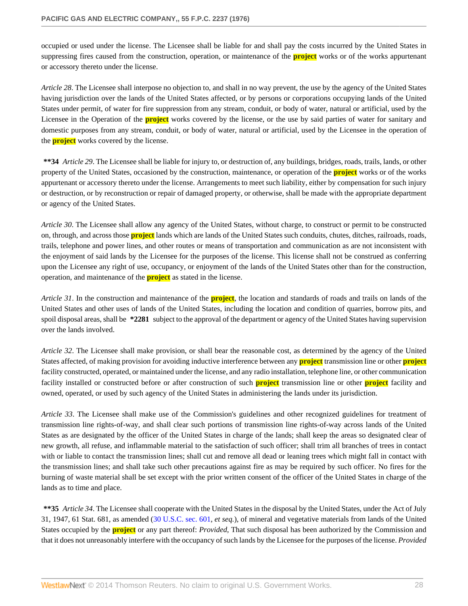occupied or used under the license. The Licensee shall be liable for and shall pay the costs incurred by the United States in suppressing fires caused from the construction, operation, or maintenance of the **project** works or of the works appurtenant or accessory thereto under the license.

*Article 28*. The Licensee shall interpose no objection to, and shall in no way prevent, the use by the agency of the United States having jurisdiction over the lands of the United States affected, or by persons or corporations occupying lands of the United States under permit, of water for fire suppression from any stream, conduit, or body of water, natural or artificial, used by the Licensee in the Operation of the **project** works covered by the license, or the use by said parties of water for sanitary and domestic purposes from any stream, conduit, or body of water, natural or artificial, used by the Licensee in the operation of the **project** works covered by the license.

**\*\*34** *Article 29*. The Licensee shall be liable for injury to, or destruction of, any buildings, bridges, roads, trails, lands, or other property of the United States, occasioned by the construction, maintenance, or operation of the **project** works or of the works appurtenant or accessory thereto under the license. Arrangements to meet such liability, either by compensation for such injury or destruction, or by reconstruction or repair of damaged property, or otherwise, shall be made with the appropriate department or agency of the United States.

*Article 30*. The Licensee shall allow any agency of the United States, without charge, to construct or permit to be constructed on, through, and across those **project** lands which are lands of the United States such conduits, chutes, ditches, railroads, roads, trails, telephone and power lines, and other routes or means of transportation and communication as are not inconsistent with the enjoyment of said lands by the Licensee for the purposes of the license. This license shall not be construed as conferring upon the Licensee any right of use, occupancy, or enjoyment of the lands of the United States other than for the construction, operation, and maintenance of the **project** as stated in the license.

*Article 31*. In the construction and maintenance of the **project**, the location and standards of roads and trails on lands of the United States and other uses of lands of the United States, including the location and condition of quarries, borrow pits, and spoil disposal areas, shall be **\*2281** subject to the approval of the department or agency of the United States having supervision over the lands involved.

*Article 32*. The Licensee shall make provision, or shall bear the reasonable cost, as determined by the agency of the United States affected, of making provision for avoiding inductive interference between any **project** transmission line or other **project** facility constructed, operated, or maintained under the license, and any radio installation, telephone line, or other communication facility installed or constructed before or after construction of such **project** transmission line or other **project** facility and owned, operated, or used by such agency of the United States in administering the lands under its jurisdiction.

*Article 33*. The Licensee shall make use of the Commission's guidelines and other recognized guidelines for treatment of transmission line rights-of-way, and shall clear such portions of transmission line rights-of-way across lands of the United States as are designated by the officer of the United States in charge of the lands; shall keep the areas so designated clear of new growth, all refuse, and inflammable material to the satisfaction of such officer; shall trim all branches of trees in contact with or liable to contact the transmission lines; shall cut and remove all dead or leaning trees which might fall in contact with the transmission lines; and shall take such other precautions against fire as may be required by such officer. No fires for the burning of waste material shall be set except with the prior written consent of the officer of the United States in charge of the lands as to time and place.

**\*\*35** *Article 34*. The Licensee shall cooperate with the United States in the disposal by the United States, under the Act of July 31, 1947, 61 Stat. 681, as amended ([30 U.S.C. sec. 601,](http://www.westlaw.com/Link/Document/FullText?findType=L&pubNum=1000546&cite=30USCAS601&originatingDoc=I06d61d43391a11dbbb4d83d7c3c3a165&refType=LQ&originationContext=document&vr=3.0&rs=cblt1.0&transitionType=DocumentItem&contextData=(sc.Search)) *et seq.*), of mineral and vegetative materials from lands of the United States occupied by the **project** or any part thereof: *Provided*, That such disposal has been authorized by the Commission and that it does not unreasonably interfere with the occupancy of such lands by the Licensee for the purposes of the license. *Provided*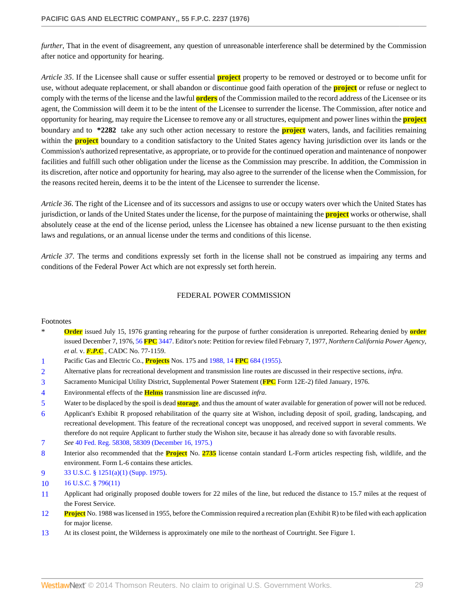*further*, That in the event of disagreement, any question of unreasonable interference shall be determined by the Commission after notice and opportunity for hearing.

*Article 35*. If the Licensee shall cause or suffer essential **project** property to be removed or destroyed or to become unfit for use, without adequate replacement, or shall abandon or discontinue good faith operation of the **project** or refuse or neglect to comply with the terms of the license and the lawful **orders** of the Commission mailed to the record address of the Licensee or its agent, the Commission will deem it to be the intent of the Licensee to surrender the license. The Commission, after notice and opportunity for hearing, may require the Licensee to remove any or all structures, equipment and power lines within the **project** boundary and to **\*2282** take any such other action necessary to restore the **project** waters, lands, and facilities remaining within the **project** boundary to a condition satisfactory to the United States agency having jurisdiction over its lands or the Commission's authorized representative, as appropriate, or to provide for the continued operation and maintenance of nonpower facilities and fulfill such other obligation under the license as the Commission may prescribe. In addition, the Commission in its discretion, after notice and opportunity for hearing, may also agree to the surrender of the license when the Commission, for the reasons recited herein, deems it to be the intent of the Licensee to surrender the license.

*Article 36*. The right of the Licensee and of its successors and assigns to use or occupy waters over which the United States has jurisdiction, or lands of the United States under the license, for the purpose of maintaining the **project** works or otherwise, shall absolutely cease at the end of the license period, unless the Licensee has obtained a new license pursuant to the then existing laws and regulations, or an annual license under the terms and conditions of this license.

*Article 37*. The terms and conditions expressly set forth in the license shall not be construed as impairing any terms and conditions of the Federal Power Act which are not expressly set forth herein.

#### FEDERAL POWER COMMISSION

#### Footnotes

- **Order** issued July 15, 1976 granting rehearing for the purpose of further consideration is unreported. Rehearing denied by **order** issued December 7, 1976, 56 **FPC** [3447.](http://www.westlaw.com/Link/Document/FullText?findType=Y&serNum=1976151663&pubNum=921&originationContext=document&vr=3.0&rs=cblt1.0&transitionType=DocumentItem&contextData=(sc.Search)) Editor's note: Petition for review filed February 7, 1977, *Northern California Power Agency, et al.* v. *F.P.C.*, CADC No. 77-1159.
- <span id="page-28-0"></span>[1](#page-0-0) Pacific Gas and Electric Co., **Projects** Nos. 175 and 1988, 14 **FPC** [684 \(1955\)](http://www.westlaw.com/Link/Document/FullText?findType=Y&serNum=1955043081&pubNum=921&originationContext=document&vr=3.0&rs=cblt1.0&transitionType=DocumentItem&contextData=(sc.Search)).
- <span id="page-28-1"></span>[2](#page-1-0) Alternative plans for recreational development and transmission line routes are discussed in their respective sections, *infra*.
- <span id="page-28-2"></span>[3](#page-1-1) Sacramento Municipal Utility District, Supplemental Power Statement (**FPC** Form 12E-2) filed January, 1976.
- <span id="page-28-3"></span>[4](#page-2-0) Environmental effects of the **Helms** transmission line are discussed *infra*.
- <span id="page-28-4"></span>[5](#page-3-0) Water to be displaced by the spoil is dead **storage**, and thus the amount of water available for generation of power will not be reduced.
- <span id="page-28-5"></span>[6](#page-3-1) Applicant's Exhibit R proposed rehabilitation of the quarry site at Wishon, including deposit of spoil, grading, landscaping, and recreational development. This feature of the recreational concept was unopposed, and received support in several comments. We therefore do not require Applicant to further study the Wishon site, because it has already done so with favorable results.
- <span id="page-28-6"></span>[7](#page-4-0) *See* [40 Fed. Reg. 58308, 58309 \(December 16, 1975.\)](http://www.westlaw.com/Link/Document/FullText?findType=Y&pubNum=1037&cite=40FR58308&originationContext=document&vr=3.0&rs=cblt1.0&transitionType=DocumentItem&contextData=(sc.Search)#co_pp_sp_1037_58309)
- <span id="page-28-7"></span>[8](#page-5-0) Interior also recommended that the **Project** No. **2735** license contain standard L-Form articles respecting fish, wildlife, and the environment. Form L-6 contains these articles.
- <span id="page-28-8"></span>[9](#page-5-1) [33 U.S.C. § 1251\(a\)\(1\) \(Supp. 1975\)](http://www.westlaw.com/Link/Document/FullText?findType=L&pubNum=1000546&cite=33USCAS1251&originatingDoc=I06d61d43391a11dbbb4d83d7c3c3a165&refType=LQ&originationContext=document&vr=3.0&rs=cblt1.0&transitionType=DocumentItem&contextData=(sc.Search)).
- <span id="page-28-9"></span>[10](#page-6-0) [16 U.S.C. § 796\(11\)](http://www.westlaw.com/Link/Document/FullText?findType=L&pubNum=1000546&cite=16USCAS796&originatingDoc=I06d61d43391a11dbbb4d83d7c3c3a165&refType=LQ&originationContext=document&vr=3.0&rs=cblt1.0&transitionType=DocumentItem&contextData=(sc.Search))
- <span id="page-28-10"></span>[11](#page-6-1) Applicant had originally proposed double towers for 22 miles of the line, but reduced the distance to 15.7 miles at the request of the Forest Service.
- <span id="page-28-11"></span>**Project** No. 1988 was licensed in 1955, before the Commission required a recreation plan (Exhibit R) to be filed with each application for major license.
- <span id="page-28-12"></span>[13](#page-8-0) At its closest point, the Wilderness is approximately one mile to the northeast of Courtright. See Figure 1.